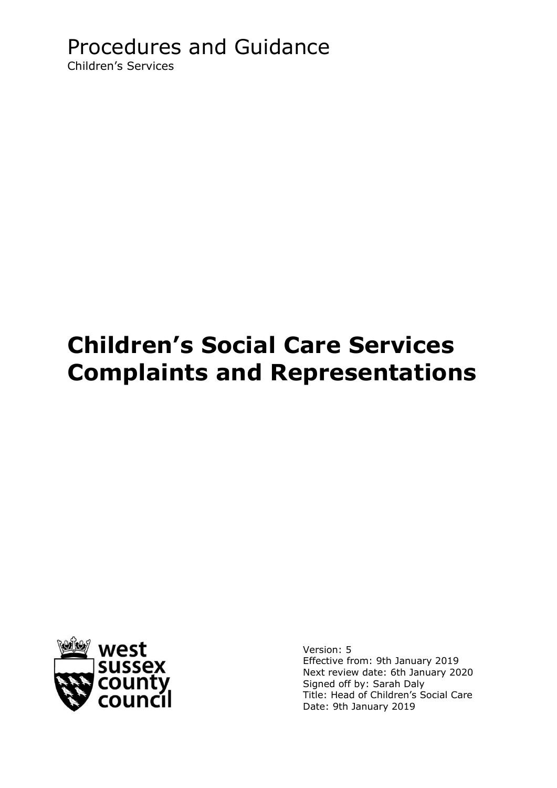### <span id="page-0-0"></span>Procedures and Guidance Children's Services

# **Children's Social Care Services Complaints and Representations**



Version: 5 Effective from: 9th January 2019 Next review date: 6th January 2020 Signed off by: Sarah Daly Title: Head of Children's Social Care Date: 9th January 2019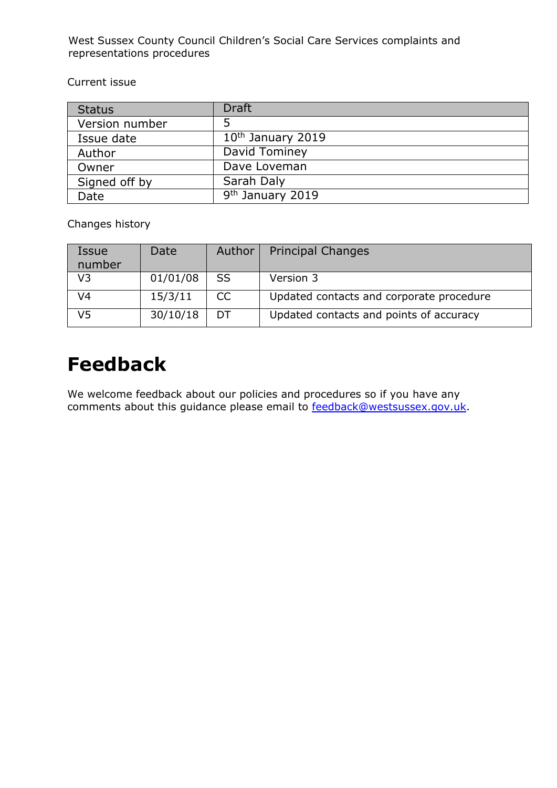Current issue

| <b>Status</b>  | <b>Draft</b>                 |
|----------------|------------------------------|
| Version number |                              |
| Issue date     | $10th$ January 2019          |
| Author         | David Tominey                |
| Owner          | Dave Loveman                 |
| Signed off by  | Sarah Daly                   |
| Date           | 9 <sup>th</sup> January 2019 |

Changes history

| Issue<br>number | Date     | Author        | <b>Principal Changes</b>                 |
|-----------------|----------|---------------|------------------------------------------|
| V <sub>3</sub>  | 01/01/08 | -SS           | Version 3                                |
| V <sub>4</sub>  | 15/3/11  | <sub>CC</sub> | Updated contacts and corporate procedure |
| V <sub>5</sub>  | 30/10/18 | DT            | Updated contacts and points of accuracy  |

# <span id="page-1-0"></span>**Feedback**

We welcome feedback about our policies and procedures so if you have any comments about this guidance please email to [feedback@westsussex.gov.uk.](mailto:feedback@westsussex.gov.uk)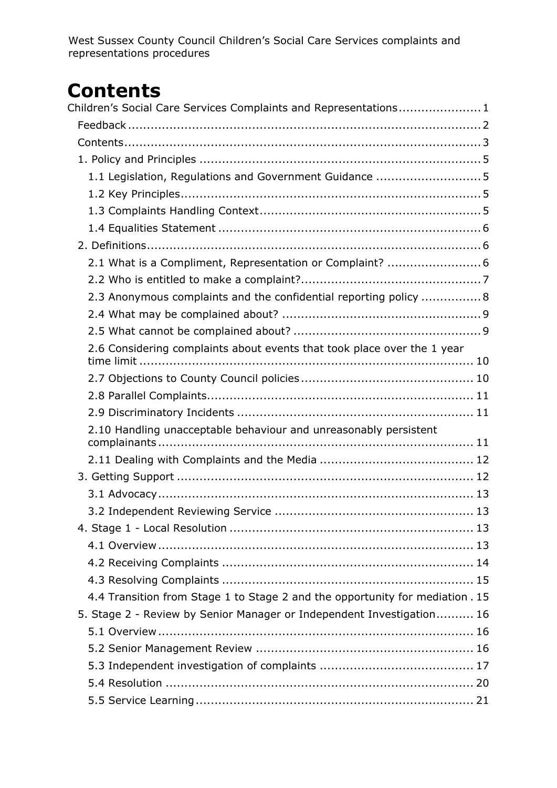# <span id="page-2-0"></span>**Contents**

| Children's Social Care Services Complaints and Representations1               |  |
|-------------------------------------------------------------------------------|--|
|                                                                               |  |
|                                                                               |  |
|                                                                               |  |
| 1.1 Legislation, Regulations and Government Guidance  5                       |  |
|                                                                               |  |
|                                                                               |  |
|                                                                               |  |
|                                                                               |  |
|                                                                               |  |
|                                                                               |  |
| 2.3 Anonymous complaints and the confidential reporting policy  8             |  |
|                                                                               |  |
|                                                                               |  |
| 2.6 Considering complaints about events that took place over the 1 year       |  |
|                                                                               |  |
|                                                                               |  |
|                                                                               |  |
| 2.10 Handling unacceptable behaviour and unreasonably persistent              |  |
|                                                                               |  |
|                                                                               |  |
|                                                                               |  |
|                                                                               |  |
|                                                                               |  |
|                                                                               |  |
|                                                                               |  |
|                                                                               |  |
| 4.4 Transition from Stage 1 to Stage 2 and the opportunity for mediation . 15 |  |
| 5. Stage 2 - Review by Senior Manager or Independent Investigation 16         |  |
|                                                                               |  |
|                                                                               |  |
|                                                                               |  |
|                                                                               |  |
|                                                                               |  |
|                                                                               |  |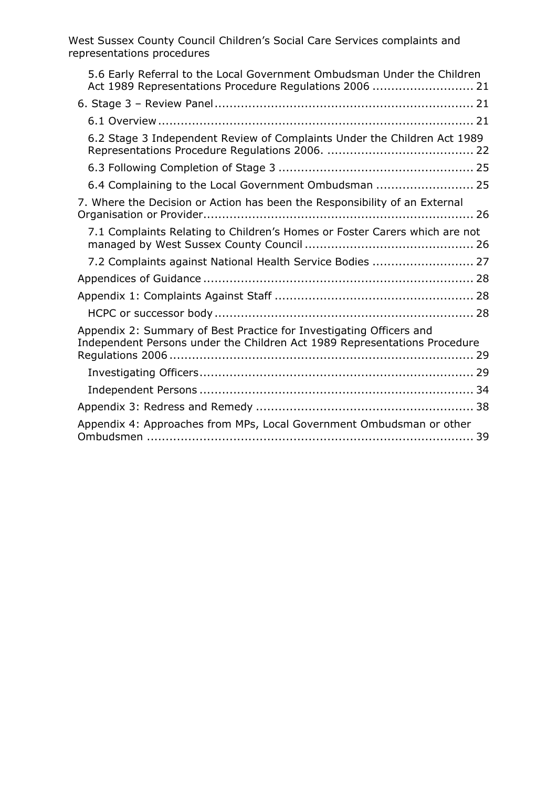| 5.6 Early Referral to the Local Government Ombudsman Under the Children<br>Act 1989 Representations Procedure Regulations 2006  21               |
|--------------------------------------------------------------------------------------------------------------------------------------------------|
|                                                                                                                                                  |
|                                                                                                                                                  |
| 6.2 Stage 3 Independent Review of Complaints Under the Children Act 1989                                                                         |
|                                                                                                                                                  |
| 6.4 Complaining to the Local Government Ombudsman  25                                                                                            |
| 7. Where the Decision or Action has been the Responsibility of an External                                                                       |
| 7.1 Complaints Relating to Children's Homes or Foster Carers which are not                                                                       |
| 7.2 Complaints against National Health Service Bodies  27                                                                                        |
|                                                                                                                                                  |
|                                                                                                                                                  |
|                                                                                                                                                  |
| Appendix 2: Summary of Best Practice for Investigating Officers and<br>Independent Persons under the Children Act 1989 Representations Procedure |
|                                                                                                                                                  |
|                                                                                                                                                  |
|                                                                                                                                                  |
| Appendix 4: Approaches from MPs, Local Government Ombudsman or other                                                                             |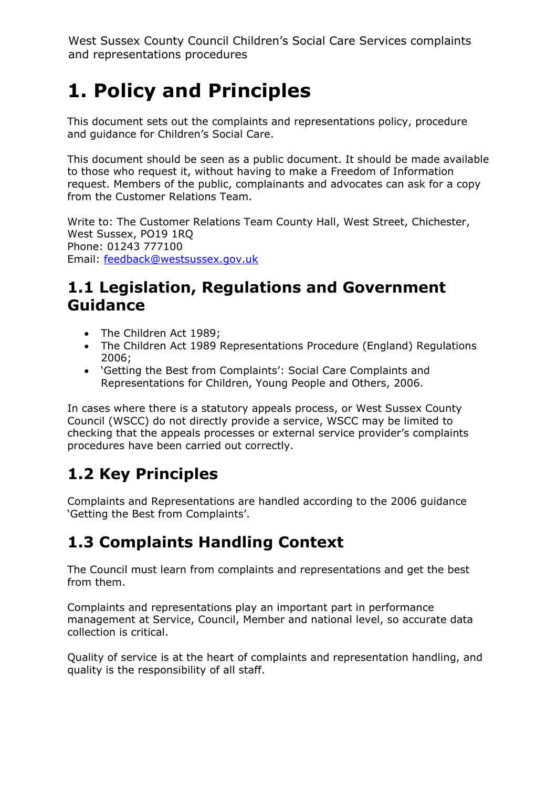# <span id="page-4-0"></span>**1. Policy and Principles**

This document sets out the complaints and representations policy, procedure and guidance for Children's Social Care.

This document should be seen as a public document. It should be made available to those who request it, without having to make a Freedom of Information request. Members of the public, complainants and advocates can ask for a copy from the Customer Relations Team.

Write to: The Customer Relations Team County Hall, West Street, Chichester, West Sussex, PO19 1RQ Phone: 01243 777100 Email: [feedback@westsussex.gov.uk](mailto:feedback@westsussex.gov.uk)

### <span id="page-4-1"></span>**1.1 Legislation, Regulations and Government Guidance**

- The Children Act 1989;
- The Children Act 1989 Representations Procedure (England) Regulations 2006;
- 'Getting the Best from Complaints': Social Care Complaints and Representations for Children, Young People and Others, 2006.

In cases where there is a statutory appeals process, or West Sussex County Council (WSCC) do not directly provide a service, WSCC may be limited to checking that the appeals processes or external service provider's complaints procedures have been carried out correctly.

### <span id="page-4-2"></span>**1.2 Key Principles**

Complaints and Representations are handled according to the 2006 guidance 'Getting the Best from Complaints'.

### <span id="page-4-3"></span>**1.3 Complaints Handling Context**

The Council must learn from complaints and representations and get the best from them.

Complaints and representations play an important part in performance management at Service, Council, Member and national level, so accurate data collection is critical.

Quality of service is at the heart of complaints and representation handling, and quality is the responsibility of all staff.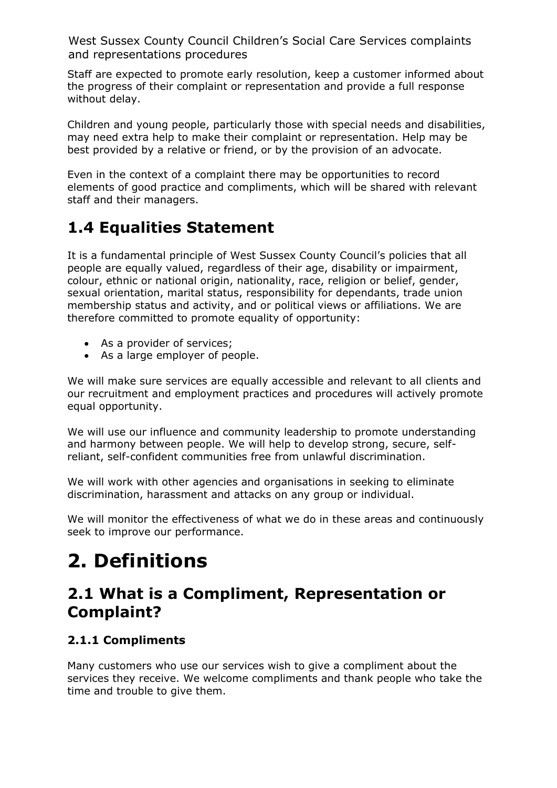Staff are expected to promote early resolution, keep a customer informed about the progress of their complaint or representation and provide a full response without delay.

Children and young people, particularly those with special needs and disabilities, may need extra help to make their complaint or representation. Help may be best provided by a relative or friend, or by the provision of an advocate.

Even in the context of a complaint there may be opportunities to record elements of good practice and compliments, which will be shared with relevant staff and their managers.

### <span id="page-5-0"></span>**1.4 Equalities Statement**

It is a fundamental principle of West Sussex County Council's policies that all people are equally valued, regardless of their age, disability or impairment, colour, ethnic or national origin, nationality, race, religion or belief, gender, sexual orientation, marital status, responsibility for dependants, trade union membership status and activity, and or political views or affiliations. We are therefore committed to promote equality of opportunity:

- As a provider of services;
- As a large employer of people.

We will make sure services are equally accessible and relevant to all clients and our recruitment and employment practices and procedures will actively promote equal opportunity.

We will use our influence and community leadership to promote understanding and harmony between people. We will help to develop strong, secure, selfreliant, self-confident communities free from unlawful discrimination.

We will work with other agencies and organisations in seeking to eliminate discrimination, harassment and attacks on any group or individual.

We will monitor the effectiveness of what we do in these areas and continuously seek to improve our performance.

# <span id="page-5-1"></span>**2. Definitions**

### <span id="page-5-2"></span>**2.1 What is a Compliment, Representation or Complaint?**

#### **2.1.1 Compliments**

Many customers who use our services wish to give a compliment about the services they receive. We welcome compliments and thank people who take the time and trouble to give them.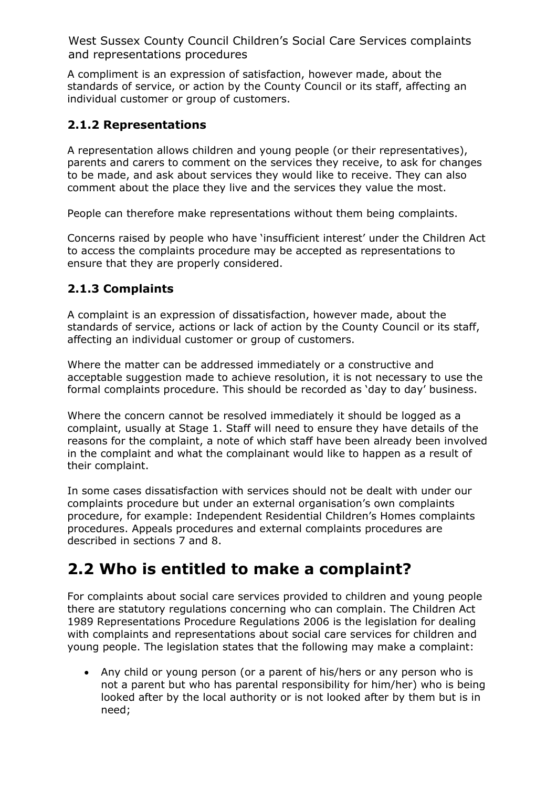A compliment is an expression of satisfaction, however made, about the standards of service, or action by the County Council or its staff, affecting an individual customer or group of customers.

#### **2.1.2 Representations**

A representation allows children and young people (or their representatives), parents and carers to comment on the services they receive, to ask for changes to be made, and ask about services they would like to receive. They can also comment about the place they live and the services they value the most.

People can therefore make representations without them being complaints.

Concerns raised by people who have 'insufficient interest' under the Children Act to access the complaints procedure may be accepted as representations to ensure that they are properly considered.

#### **2.1.3 Complaints**

A complaint is an expression of dissatisfaction, however made, about the standards of service, actions or lack of action by the County Council or its staff, affecting an individual customer or group of customers.

Where the matter can be addressed immediately or a constructive and acceptable suggestion made to achieve resolution, it is not necessary to use the formal complaints procedure. This should be recorded as 'day to day' business.

Where the concern cannot be resolved immediately it should be logged as a complaint, usually at Stage 1. Staff will need to ensure they have details of the reasons for the complaint, a note of which staff have been already been involved in the complaint and what the complainant would like to happen as a result of their complaint.

In some cases dissatisfaction with services should not be dealt with under our complaints procedure but under an external organisation's own complaints procedure, for example: Independent Residential Children's Homes complaints procedures. Appeals procedures and external complaints procedures are described in sections 7 and 8.

### <span id="page-6-0"></span>**2.2 Who is entitled to make a complaint?**

For complaints about social care services provided to children and young people there are statutory regulations concerning who can complain. The Children Act 1989 Representations Procedure Regulations 2006 is the legislation for dealing with complaints and representations about social care services for children and young people. The legislation states that the following may make a complaint:

• Any child or young person (or a parent of his/hers or any person who is not a parent but who has parental responsibility for him/her) who is being looked after by the local authority or is not looked after by them but is in need;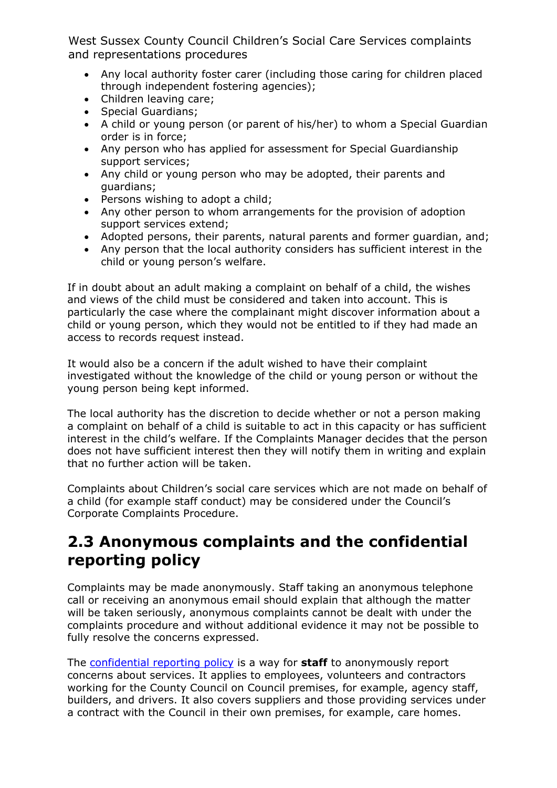- Any local authority foster carer (including those caring for children placed through independent fostering agencies);
- Children leaving care;
- Special Guardians;
- A child or young person (or parent of his/her) to whom a Special Guardian order is in force;
- Any person who has applied for assessment for Special Guardianship support services;
- Any child or young person who may be adopted, their parents and guardians;
- Persons wishing to adopt a child;
- Any other person to whom arrangements for the provision of adoption support services extend;
- Adopted persons, their parents, natural parents and former guardian, and;
- Any person that the local authority considers has sufficient interest in the child or young person's welfare.

If in doubt about an adult making a complaint on behalf of a child, the wishes and views of the child must be considered and taken into account. This is particularly the case where the complainant might discover information about a child or young person, which they would not be entitled to if they had made an access to records request instead.

It would also be a concern if the adult wished to have their complaint investigated without the knowledge of the child or young person or without the young person being kept informed.

The local authority has the discretion to decide whether or not a person making a complaint on behalf of a child is suitable to act in this capacity or has sufficient interest in the child's welfare. If the Complaints Manager decides that the person does not have sufficient interest then they will notify them in writing and explain that no further action will be taken.

Complaints about Children's social care services which are not made on behalf of a child (for example staff conduct) may be considered under the Council's Corporate Complaints Procedure.

### <span id="page-7-0"></span>**2.3 Anonymous complaints and the confidential reporting policy**

Complaints may be made anonymously. Staff taking an anonymous telephone call or receiving an anonymous email should explain that although the matter will be taken seriously, anonymous complaints cannot be dealt with under the complaints procedure and without additional evidence it may not be possible to fully resolve the concerns expressed.

The [confidential reporting policy](http://www2.westsussex.gov.uk/ds/constitution/part5-12.pdf) is a way for **staff** to anonymously report concerns about services. It applies to employees, volunteers and contractors working for the County Council on Council premises, for example, agency staff, builders, and drivers. It also covers suppliers and those providing services under a contract with the Council in their own premises, for example, care homes.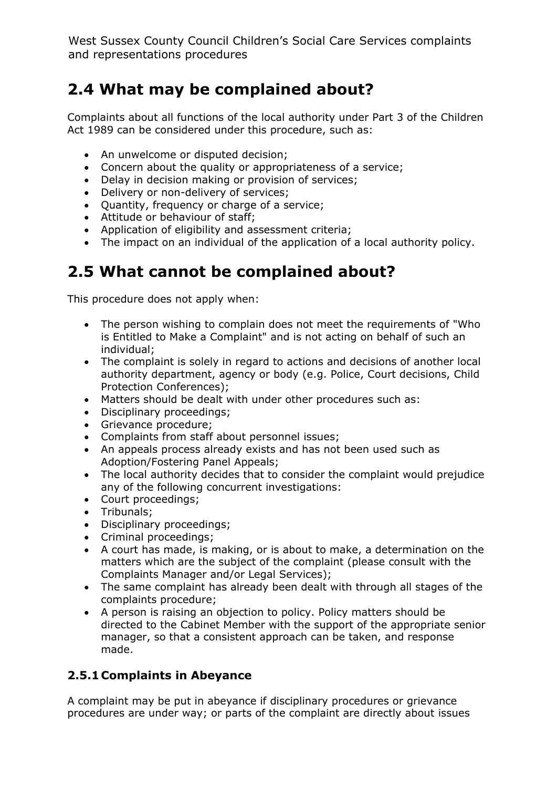### <span id="page-8-0"></span>**2.4 What may be complained about?**

Complaints about all functions of the local authority under Part 3 of the Children Act 1989 can be considered under this procedure, such as:

- An unwelcome or disputed decision;
- Concern about the quality or appropriateness of a service;
- Delay in decision making or provision of services;
- Delivery or non-delivery of services;
- Quantity, frequency or charge of a service;
- Attitude or behaviour of staff;
- Application of eligibility and assessment criteria;
- The impact on an individual of the application of a local authority policy.

### <span id="page-8-1"></span>**2.5 What cannot be complained about?**

This procedure does not apply when:

- The person wishing to complain does not meet the requirements of "Who is Entitled to Make a Complaint" and is not acting on behalf of such an individual;
- The complaint is solely in regard to actions and decisions of another local authority department, agency or body (e.g. Police, Court decisions, Child Protection Conferences);
- Matters should be dealt with under other procedures such as:
- Disciplinary proceedings;
- Grievance procedure;
- Complaints from staff about personnel issues;
- An appeals process already exists and has not been used such as Adoption/Fostering Panel Appeals;
- The local authority decides that to consider the complaint would prejudice any of the following concurrent investigations:
- Court proceedings;
- Tribunals;
- Disciplinary proceedings;
- Criminal proceedings;
- A court has made, is making, or is about to make, a determination on the matters which are the subject of the complaint (please consult with the Complaints Manager and/or Legal Services);
- The same complaint has already been dealt with through all stages of the complaints procedure;
- A person is raising an objection to policy. Policy matters should be directed to the Cabinet Member with the support of the appropriate senior manager, so that a consistent approach can be taken, and response made.

#### **2.5.1 Complaints in Abeyance**

A complaint may be put in abeyance if disciplinary procedures or grievance procedures are under way; or parts of the complaint are directly about issues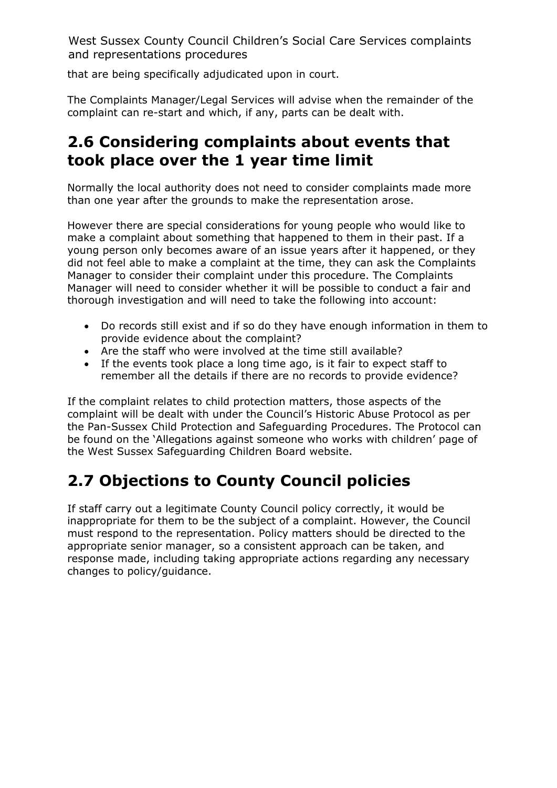that are being specifically adjudicated upon in court.

The Complaints Manager/Legal Services will advise when the remainder of the complaint can re-start and which, if any, parts can be dealt with.

### <span id="page-9-0"></span>**2.6 Considering complaints about events that took place over the 1 year time limit**

Normally the local authority does not need to consider complaints made more than one year after the grounds to make the representation arose.

However there are special considerations for young people who would like to make a complaint about something that happened to them in their past. If a young person only becomes aware of an issue years after it happened, or they did not feel able to make a complaint at the time, they can ask the Complaints Manager to consider their complaint under this procedure. The Complaints Manager will need to consider whether it will be possible to conduct a fair and thorough investigation and will need to take the following into account:

- Do records still exist and if so do they have enough information in them to provide evidence about the complaint?
- Are the staff who were involved at the time still available?
- If the events took place a long time ago, is it fair to expect staff to remember all the details if there are no records to provide evidence?

If the complaint relates to child protection matters, those aspects of the complaint will be dealt with under the Council's Historic Abuse Protocol as per the Pan-Sussex Child Protection and Safeguarding Procedures. The Protocol can be found on the 'Allegations against someone who works with children' page of the West Sussex Safeguarding Children Board website.

### <span id="page-9-1"></span>**2.7 Objections to County Council policies**

If staff carry out a legitimate County Council policy correctly, it would be inappropriate for them to be the subject of a complaint. However, the Council must respond to the representation. Policy matters should be directed to the appropriate senior manager, so a consistent approach can be taken, and response made, including taking appropriate actions regarding any necessary changes to policy/guidance.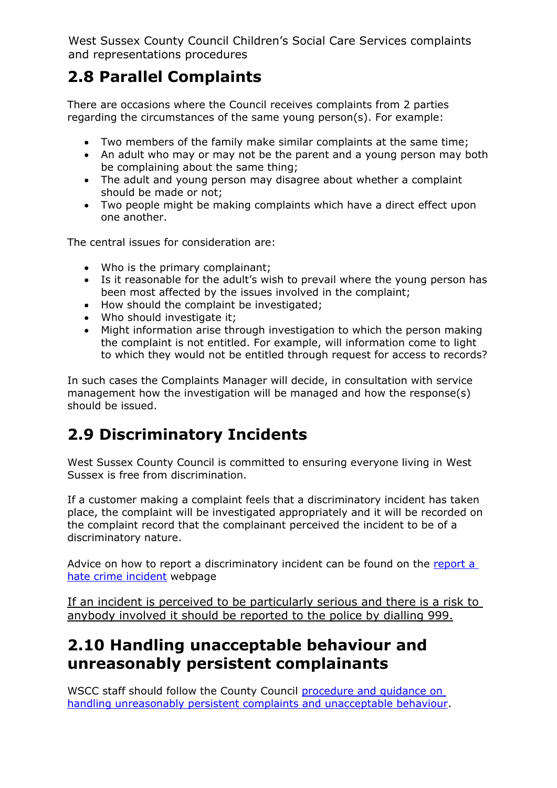### <span id="page-10-0"></span>**2.8 Parallel Complaints**

There are occasions where the Council receives complaints from 2 parties regarding the circumstances of the same young person(s). For example:

- Two members of the family make similar complaints at the same time;
- An adult who may or may not be the parent and a young person may both be complaining about the same thing;
- The adult and young person may disagree about whether a complaint should be made or not;
- Two people might be making complaints which have a direct effect upon one another.

The central issues for consideration are:

- Who is the primary complainant;
- Is it reasonable for the adult's wish to prevail where the young person has been most affected by the issues involved in the complaint;
- How should the complaint be investigated;
- Who should investigate it;
- Might information arise through investigation to which the person making the complaint is not entitled. For example, will information come to light to which they would not be entitled through request for access to records?

In such cases the Complaints Manager will decide, in consultation with service management how the investigation will be managed and how the response(s) should be issued.

### <span id="page-10-1"></span>**2.9 Discriminatory Incidents**

West Sussex County Council is committed to ensuring everyone living in West Sussex is free from discrimination.

If a customer making a complaint feels that a discriminatory incident has taken place, the complaint will be investigated appropriately and it will be recorded on the complaint record that the complainant perceived the incident to be of a discriminatory nature.

Advice on how to report a discriminatory incident can be found on the [report a](http://www.westsussex.gov.uk/default.aspx?page=9806)  [hate crime incident](http://www.westsussex.gov.uk/default.aspx?page=9806) webpage

If an incident is perceived to be particularly serious and there is a risk to anybody involved it should be reported to the police by dialling 999.

### <span id="page-10-2"></span>**2.10 Handling unacceptable behaviour and unreasonably persistent complainants**

WSCC staff should follow the County Council [procedure and guidance on](https://www.westsussex.gov.uk/media/11493/pro_guide_handling_comps_un_behaviour.pdf)  [handling unreasonably persistent complaints and unacceptable behaviour.](https://www.westsussex.gov.uk/media/11493/pro_guide_handling_comps_un_behaviour.pdf)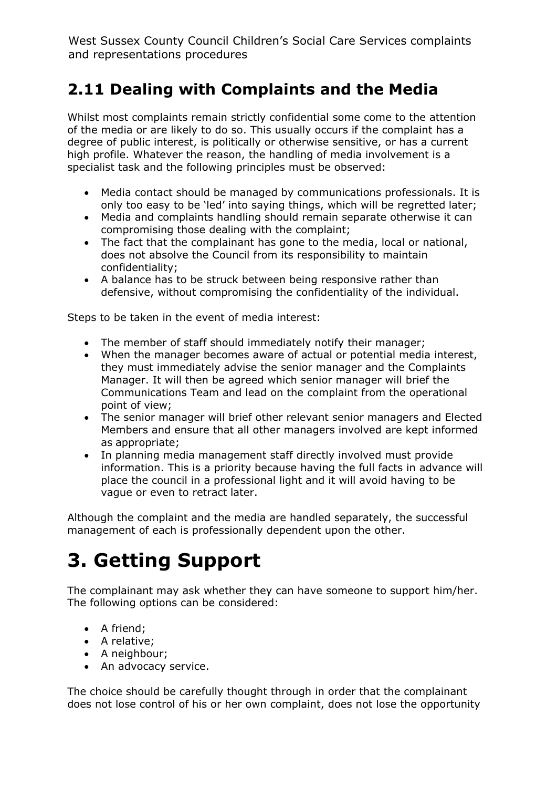### <span id="page-11-0"></span>**2.11 Dealing with Complaints and the Media**

Whilst most complaints remain strictly confidential some come to the attention of the media or are likely to do so. This usually occurs if the complaint has a degree of public interest, is politically or otherwise sensitive, or has a current high profile. Whatever the reason, the handling of media involvement is a specialist task and the following principles must be observed:

- Media contact should be managed by communications professionals. It is only too easy to be 'led' into saying things, which will be regretted later;
- Media and complaints handling should remain separate otherwise it can compromising those dealing with the complaint;
- The fact that the complainant has gone to the media, local or national, does not absolve the Council from its responsibility to maintain confidentiality;
- A balance has to be struck between being responsive rather than defensive, without compromising the confidentiality of the individual.

Steps to be taken in the event of media interest:

- The member of staff should immediately notify their manager;
- When the manager becomes aware of actual or potential media interest, they must immediately advise the senior manager and the Complaints Manager. It will then be agreed which senior manager will brief the Communications Team and lead on the complaint from the operational point of view;
- The senior manager will brief other relevant senior managers and Elected Members and ensure that all other managers involved are kept informed as appropriate;
- In planning media management staff directly involved must provide information. This is a priority because having the full facts in advance will place the council in a professional light and it will avoid having to be vague or even to retract later.

Although the complaint and the media are handled separately, the successful management of each is professionally dependent upon the other.

# <span id="page-11-1"></span>**3. Getting Support**

The complainant may ask whether they can have someone to support him/her. The following options can be considered:

- A friend;
- A relative;
- A neighbour;
- An advocacy service.

The choice should be carefully thought through in order that the complainant does not lose control of his or her own complaint, does not lose the opportunity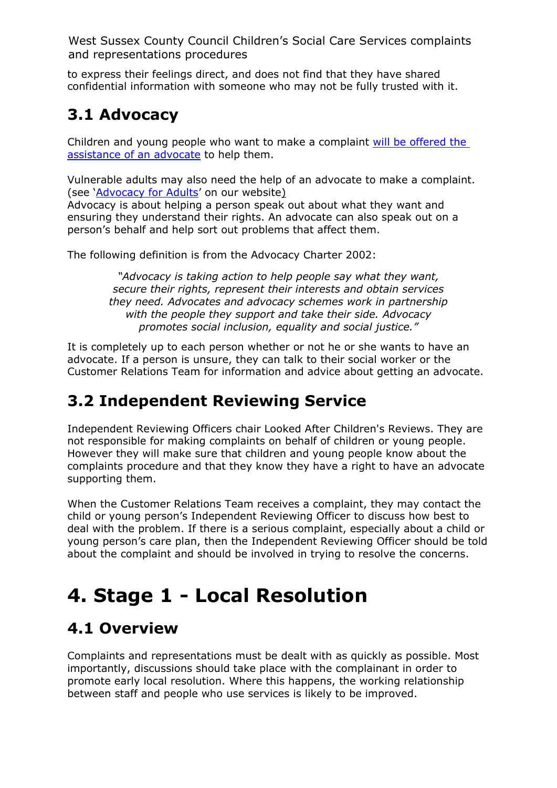to express their feelings direct, and does not find that they have shared confidential information with someone who may not be fully trusted with it.

### <span id="page-12-0"></span>**3.1 Advocacy**

Children and young people who want to make a complaint [will be offered the](https://www.westsussex.gov.uk/education-children-and-families/your-space/life/advocacy/)  assistance [of an advocate](https://www.westsussex.gov.uk/education-children-and-families/your-space/life/advocacy/) to help them.

Vulnerable adults may also need the help of an advocate to make a complaint. (see ['Advocacy for](https://www.westsussex.gov.uk/social-care-and-health/how-to-get-social-care-help/having-someone-to-speak-for-you/) Adults' on our website)

Advocacy is about helping a person speak out about what they want and ensuring they understand their rights. An advocate can also speak out on a person's behalf and help sort out problems that affect them.

The following definition is from the Advocacy Charter 2002:

*"Advocacy is taking action to help people say what they want, secure their rights, represent their interests and obtain services they need. Advocates and advocacy schemes work in partnership with the people they support and take their side. Advocacy promotes social inclusion, equality and social justice."*

It is completely up to each person whether or not he or she wants to have an advocate. If a person is unsure, they can talk to their social worker or the Customer Relations Team for information and advice about getting an advocate.

### <span id="page-12-1"></span>**3.2 Independent Reviewing Service**

Independent Reviewing Officers chair Looked After Children's Reviews. They are not responsible for making complaints on behalf of children or young people. However they will make sure that children and young people know about the complaints procedure and that they know they have a right to have an advocate supporting them.

When the Customer Relations Team receives a complaint, they may contact the child or young person's Independent Reviewing Officer to discuss how best to deal with the problem. If there is a serious complaint, especially about a child or young person's care plan, then the Independent Reviewing Officer should be told about the complaint and should be involved in trying to resolve the concerns.

# <span id="page-12-2"></span>**4. Stage 1 - Local Resolution**

### <span id="page-12-3"></span>**4.1 Overview**

Complaints and representations must be dealt with as quickly as possible. Most importantly, discussions should take place with the complainant in order to promote early local resolution. Where this happens, the working relationship between staff and people who use services is likely to be improved.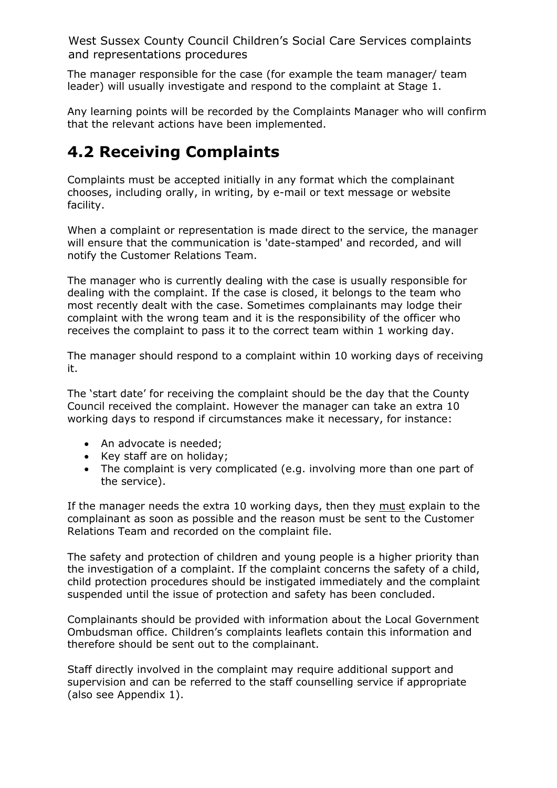The manager responsible for the case (for example the team manager/ team leader) will usually investigate and respond to the complaint at Stage 1.

Any learning points will be recorded by the Complaints Manager who will confirm that the relevant actions have been implemented.

### <span id="page-13-0"></span>**4.2 Receiving Complaints**

Complaints must be accepted initially in any format which the complainant chooses, including orally, in writing, by e-mail or text message or website facility.

When a complaint or representation is made direct to the service, the manager will ensure that the communication is 'date-stamped' and recorded, and will notify the Customer Relations Team.

The manager who is currently dealing with the case is usually responsible for dealing with the complaint. If the case is closed, it belongs to the team who most recently dealt with the case. Sometimes complainants may lodge their complaint with the wrong team and it is the responsibility of the officer who receives the complaint to pass it to the correct team within 1 working day.

The manager should respond to a complaint within 10 working days of receiving it.

The 'start date' for receiving the complaint should be the day that the County Council received the complaint. However the manager can take an extra 10 working days to respond if circumstances make it necessary, for instance:

- An advocate is needed;
- Key staff are on holiday;
- The complaint is very complicated (e.g. involving more than one part of the service).

If the manager needs the extra 10 working days, then they must explain to the complainant as soon as possible and the reason must be sent to the Customer Relations Team and recorded on the complaint file.

The safety and protection of children and young people is a higher priority than the investigation of a complaint. If the complaint concerns the safety of a child, child protection procedures should be instigated immediately and the complaint suspended until the issue of protection and safety has been concluded.

Complainants should be provided with information about the Local Government Ombudsman office. Children's complaints leaflets contain this information and therefore should be sent out to the complainant.

Staff directly involved in the complaint may require additional support and supervision and can be referred to the staff counselling service if appropriate (also see Appendix 1).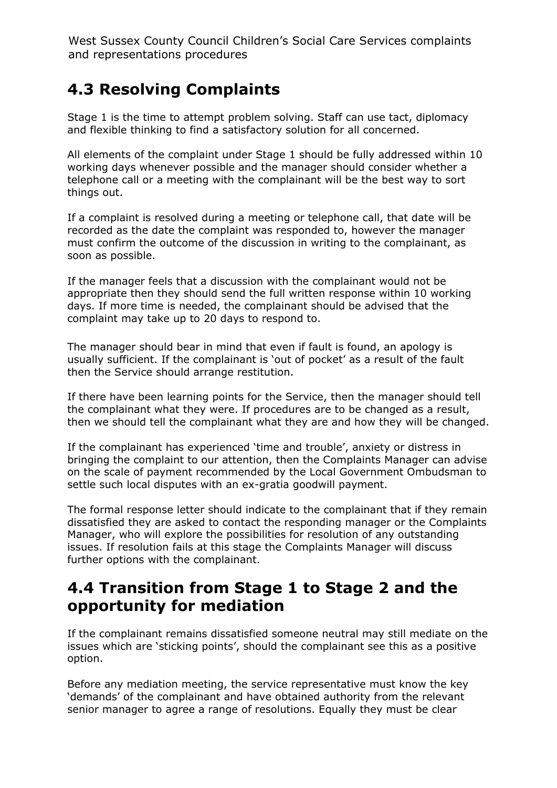### <span id="page-14-0"></span>**4.3 Resolving Complaints**

Stage 1 is the time to attempt problem solving. Staff can use tact, diplomacy and flexible thinking to find a satisfactory solution for all concerned.

All elements of the complaint under Stage 1 should be fully addressed within 10 working days whenever possible and the manager should consider whether a telephone call or a meeting with the complainant will be the best way to sort things out.

If a complaint is resolved during a meeting or telephone call, that date will be recorded as the date the complaint was responded to, however the manager must confirm the outcome of the discussion in writing to the complainant, as soon as possible.

If the manager feels that a discussion with the complainant would not be appropriate then they should send the full written response within 10 working days. If more time is needed, the complainant should be advised that the complaint may take up to 20 days to respond to.

The manager should bear in mind that even if fault is found, an apology is usually sufficient. If the complainant is 'out of pocket' as a result of the fault then the Service should arrange restitution.

If there have been learning points for the Service, then the manager should tell the complainant what they were. If procedures are to be changed as a result, then we should tell the complainant what they are and how they will be changed.

If the complainant has experienced 'time and trouble', anxiety or distress in bringing the complaint to our attention, then the Complaints Manager can advise on the scale of payment recommended by the Local Government Ombudsman to settle such local disputes with an ex-gratia goodwill payment.

The formal response letter should indicate to the complainant that if they remain dissatisfied they are asked to contact the responding manager or the Complaints Manager, who will explore the possibilities for resolution of any outstanding issues. If resolution fails at this stage the Complaints Manager will discuss further options with the complainant.

### <span id="page-14-1"></span>**4.4 Transition from Stage 1 to Stage 2 and the opportunity for mediation**

If the complainant remains dissatisfied someone neutral may still mediate on the issues which are 'sticking points', should the complainant see this as a positive option.

Before any mediation meeting, the service representative must know the key 'demands' of the complainant and have obtained authority from the relevant senior manager to agree a range of resolutions. Equally they must be clear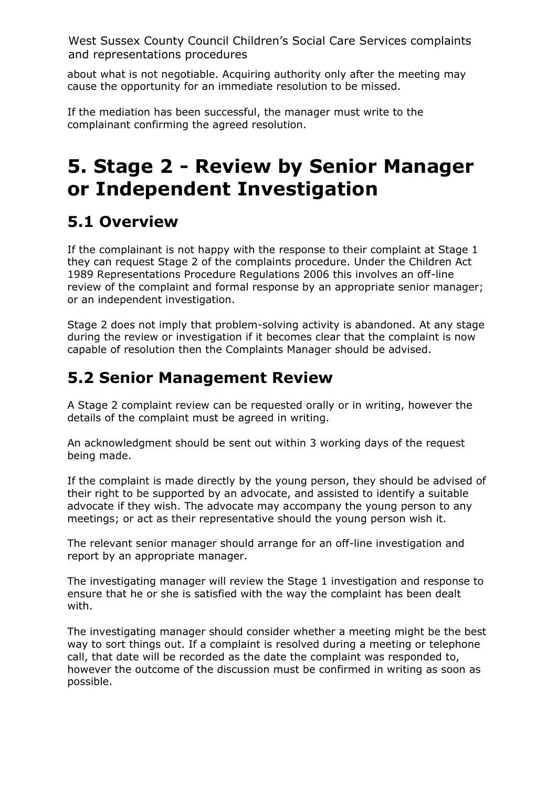about what is not negotiable. Acquiring authority only after the meeting may cause the opportunity for an immediate resolution to be missed.

If the mediation has been successful, the manager must write to the complainant confirming the agreed resolution.

# <span id="page-15-0"></span>**5. Stage 2 - Review by Senior Manager or Independent Investigation**

### <span id="page-15-1"></span>**5.1 Overview**

If the complainant is not happy with the response to their complaint at Stage 1 they can request Stage 2 of the complaints procedure. Under the Children Act 1989 Representations Procedure Regulations 2006 this involves an off-line review of the complaint and formal response by an appropriate senior manager; or an independent investigation.

Stage 2 does not imply that problem-solving activity is abandoned. At any stage during the review or investigation if it becomes clear that the complaint is now capable of resolution then the Complaints Manager should be advised.

### <span id="page-15-2"></span>**5.2 Senior Management Review**

A Stage 2 complaint review can be requested orally or in writing, however the details of the complaint must be agreed in writing.

An acknowledgment should be sent out within 3 working days of the request being made.

If the complaint is made directly by the young person, they should be advised of their right to be supported by an advocate, and assisted to identify a suitable advocate if they wish. The advocate may accompany the young person to any meetings; or act as their representative should the young person wish it.

The relevant senior manager should arrange for an off-line investigation and report by an appropriate manager.

The investigating manager will review the Stage 1 investigation and response to ensure that he or she is satisfied with the way the complaint has been dealt with.

The investigating manager should consider whether a meeting might be the best way to sort things out. If a complaint is resolved during a meeting or telephone call, that date will be recorded as the date the complaint was responded to, however the outcome of the discussion must be confirmed in writing as soon as possible.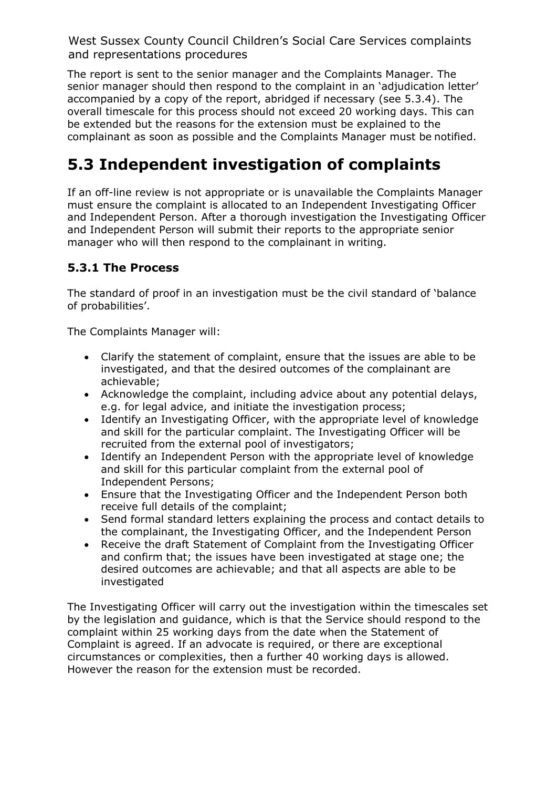The report is sent to the senior manager and the Complaints Manager. The senior manager should then respond to the complaint in an 'adjudication letter' accompanied by a copy of the report, abridged if necessary (see 5.3.4). The overall timescale for this process should not exceed 20 working days. This can be extended but the reasons for the extension must be explained to the complainant as soon as possible and the Complaints Manager must be notified.

### <span id="page-16-0"></span>**5.3 Independent investigation of complaints**

If an off-line review is not appropriate or is unavailable the Complaints Manager must ensure the complaint is allocated to an Independent Investigating Officer and Independent Person. After a thorough investigation the Investigating Officer and Independent Person will submit their reports to the appropriate senior manager who will then respond to the complainant in writing.

#### **5.3.1 The Process**

The standard of proof in an investigation must be the civil standard of 'balance of probabilities'.

The Complaints Manager will:

- Clarify the statement of complaint, ensure that the issues are able to be investigated, and that the desired outcomes of the complainant are achievable;
- Acknowledge the complaint, including advice about any potential delays, e.g. for legal advice, and initiate the investigation process;
- Identify an Investigating Officer, with the appropriate level of knowledge and skill for the particular complaint. The Investigating Officer will be recruited from the external pool of investigators;
- Identify an Independent Person with the appropriate level of knowledge and skill for this particular complaint from the external pool of Independent Persons;
- Ensure that the Investigating Officer and the Independent Person both receive full details of the complaint;
- Send formal standard letters explaining the process and contact details to the complainant, the Investigating Officer, and the Independent Person
- Receive the draft Statement of Complaint from the Investigating Officer and confirm that; the issues have been investigated at stage one; the desired outcomes are achievable; and that all aspects are able to be investigated

The Investigating Officer will carry out the investigation within the timescales set by the legislation and guidance, which is that the Service should respond to the complaint within 25 working days from the date when the Statement of Complaint is agreed. If an advocate is required, or there are exceptional circumstances or complexities, then a further 40 working days is allowed. However the reason for the extension must be recorded.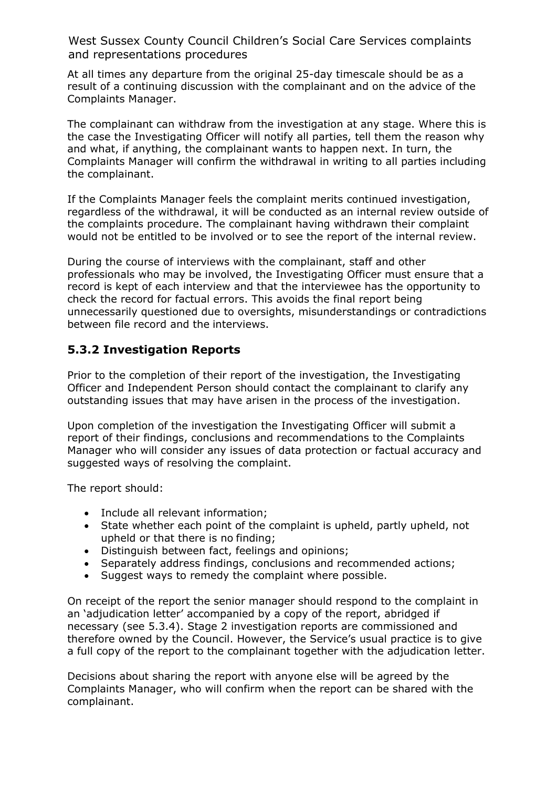At all times any departure from the original 25-day timescale should be as a result of a continuing discussion with the complainant and on the advice of the Complaints Manager.

The complainant can withdraw from the investigation at any stage. Where this is the case the Investigating Officer will notify all parties, tell them the reason why and what, if anything, the complainant wants to happen next. In turn, the Complaints Manager will confirm the withdrawal in writing to all parties including the complainant.

If the Complaints Manager feels the complaint merits continued investigation, regardless of the withdrawal, it will be conducted as an internal review outside of the complaints procedure. The complainant having withdrawn their complaint would not be entitled to be involved or to see the report of the internal review.

During the course of interviews with the complainant, staff and other professionals who may be involved, the Investigating Officer must ensure that a record is kept of each interview and that the interviewee has the opportunity to check the record for factual errors. This avoids the final report being unnecessarily questioned due to oversights, misunderstandings or contradictions between file record and the interviews.

#### **5.3.2 Investigation Reports**

Prior to the completion of their report of the investigation, the Investigating Officer and Independent Person should contact the complainant to clarify any outstanding issues that may have arisen in the process of the investigation.

Upon completion of the investigation the Investigating Officer will submit a report of their findings, conclusions and recommendations to the Complaints Manager who will consider any issues of data protection or factual accuracy and suggested ways of resolving the complaint.

The report should:

- Include all relevant information;
- State whether each point of the complaint is upheld, partly upheld, not upheld or that there is no finding;
- Distinguish between fact, feelings and opinions;
- Separately address findings, conclusions and recommended actions;
- Suggest ways to remedy the complaint where possible.

On receipt of the report the senior manager should respond to the complaint in an 'adjudication letter' accompanied by a copy of the report, abridged if necessary (see 5.3.4). Stage 2 investigation reports are commissioned and therefore owned by the Council. However, the Service's usual practice is to give a full copy of the report to the complainant together with the adjudication letter.

Decisions about sharing the report with anyone else will be agreed by the Complaints Manager, who will confirm when the report can be shared with the complainant.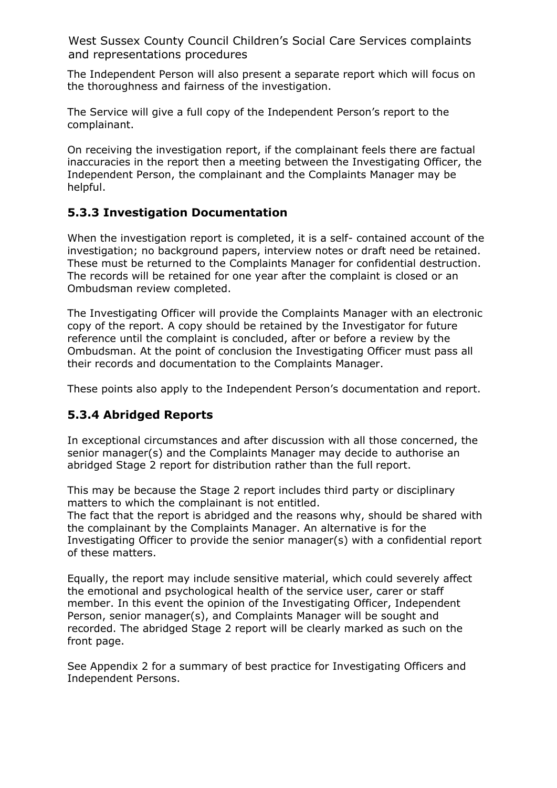The Independent Person will also present a separate report which will focus on the thoroughness and fairness of the investigation.

The Service will give a full copy of the Independent Person's report to the complainant.

On receiving the investigation report, if the complainant feels there are factual inaccuracies in the report then a meeting between the Investigating Officer, the Independent Person, the complainant and the Complaints Manager may be helpful.

#### **5.3.3 Investigation Documentation**

When the investigation report is completed, it is a self- contained account of the investigation; no background papers, interview notes or draft need be retained. These must be returned to the Complaints Manager for confidential destruction. The records will be retained for one year after the complaint is closed or an Ombudsman review completed.

The Investigating Officer will provide the Complaints Manager with an electronic copy of the report. A copy should be retained by the Investigator for future reference until the complaint is concluded, after or before a review by the Ombudsman. At the point of conclusion the Investigating Officer must pass all their records and documentation to the Complaints Manager.

These points also apply to the Independent Person's documentation and report.

#### **5.3.4 Abridged Reports**

In exceptional circumstances and after discussion with all those concerned, the senior manager(s) and the Complaints Manager may decide to authorise an abridged Stage 2 report for distribution rather than the full report.

This may be because the Stage 2 report includes third party or disciplinary matters to which the complainant is not entitled.

The fact that the report is abridged and the reasons why, should be shared with the complainant by the Complaints Manager. An alternative is for the Investigating Officer to provide the senior manager(s) with a confidential report of these matters.

Equally, the report may include sensitive material, which could severely affect the emotional and psychological health of the service user, carer or staff member. In this event the opinion of the Investigating Officer, Independent Person, senior manager(s), and Complaints Manager will be sought and recorded. The abridged Stage 2 report will be clearly marked as such on the front page.

See Appendix 2 for a summary of best practice for Investigating Officers and Independent Persons.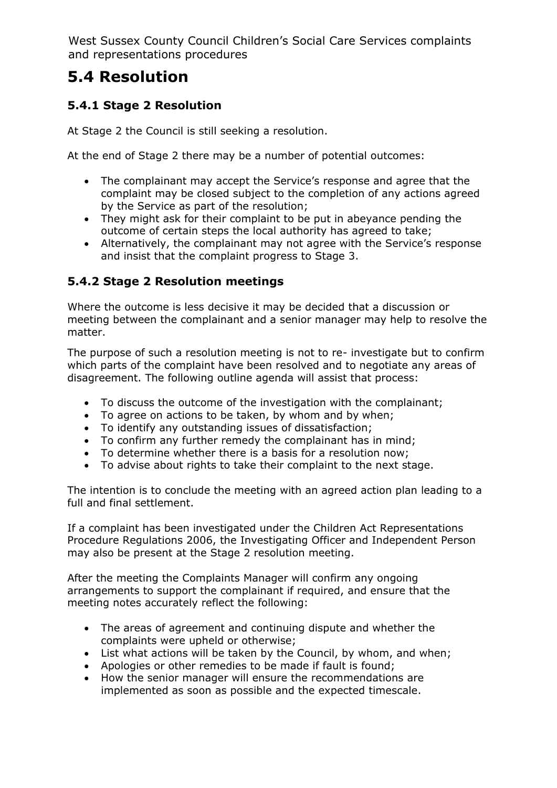### <span id="page-19-0"></span>**5.4 Resolution**

#### **5.4.1 Stage 2 Resolution**

At Stage 2 the Council is still seeking a resolution.

At the end of Stage 2 there may be a number of potential outcomes:

- The complainant may accept the Service's response and agree that the complaint may be closed subject to the completion of any actions agreed by the Service as part of the resolution;
- They might ask for their complaint to be put in abeyance pending the outcome of certain steps the local authority has agreed to take;
- Alternatively, the complainant may not agree with the Service's response and insist that the complaint progress to Stage 3.

#### **5.4.2 Stage 2 Resolution meetings**

Where the outcome is less decisive it may be decided that a discussion or meeting between the complainant and a senior manager may help to resolve the matter.

The purpose of such a resolution meeting is not to re- investigate but to confirm which parts of the complaint have been resolved and to negotiate any areas of disagreement. The following outline agenda will assist that process:

- To discuss the outcome of the investigation with the complainant;
- To agree on actions to be taken, by whom and by when;
- To identify any outstanding issues of dissatisfaction;
- To confirm any further remedy the complainant has in mind;
- To determine whether there is a basis for a resolution now;
- To advise about rights to take their complaint to the next stage.

The intention is to conclude the meeting with an agreed action plan leading to a full and final settlement.

If a complaint has been investigated under the Children Act Representations Procedure Regulations 2006, the Investigating Officer and Independent Person may also be present at the Stage 2 resolution meeting.

After the meeting the Complaints Manager will confirm any ongoing arrangements to support the complainant if required, and ensure that the meeting notes accurately reflect the following:

- The areas of agreement and continuing dispute and whether the complaints were upheld or otherwise;
- List what actions will be taken by the Council, by whom, and when;
- Apologies or other remedies to be made if fault is found;
- How the senior manager will ensure the recommendations are implemented as soon as possible and the expected timescale.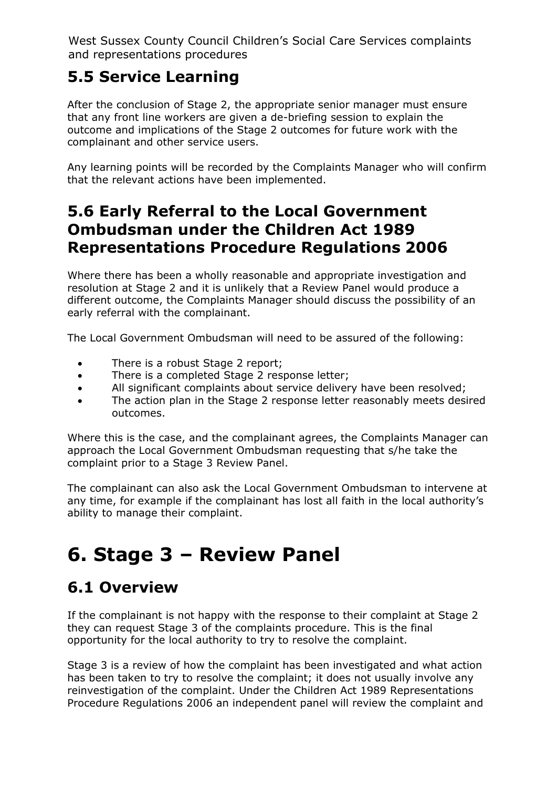### <span id="page-20-0"></span>**5.5 Service Learning**

After the conclusion of Stage 2, the appropriate senior manager must ensure that any front line workers are given a de-briefing session to explain the outcome and implications of the Stage 2 outcomes for future work with the complainant and other service users.

Any learning points will be recorded by the Complaints Manager who will confirm that the relevant actions have been implemented.

### <span id="page-20-1"></span>**5.6 Early Referral to the Local Government Ombudsman under the Children Act 1989 Representations Procedure Regulations 2006**

Where there has been a wholly reasonable and appropriate investigation and resolution at Stage 2 and it is unlikely that a Review Panel would produce a different outcome, the Complaints Manager should discuss the possibility of an early referral with the complainant.

The Local Government Ombudsman will need to be assured of the following:

- There is a robust Stage 2 report;
- There is a completed Stage 2 response letter;
- All significant complaints about service delivery have been resolved;
- The action plan in the Stage 2 response letter reasonably meets desired outcomes.

Where this is the case, and the complainant agrees, the Complaints Manager can approach the Local Government Ombudsman requesting that s/he take the complaint prior to a Stage 3 Review Panel.

The complainant can also ask the Local Government Ombudsman to intervene at any time, for example if the complainant has lost all faith in the local authority's ability to manage their complaint.

# <span id="page-20-2"></span>**6. Stage 3 – Review Panel**

### <span id="page-20-3"></span>**6.1 Overview**

If the complainant is not happy with the response to their complaint at Stage 2 they can request Stage 3 of the complaints procedure. This is the final opportunity for the local authority to try to resolve the complaint.

Stage 3 is a review of how the complaint has been investigated and what action has been taken to try to resolve the complaint; it does not usually involve any reinvestigation of the complaint. Under the Children Act 1989 Representations Procedure Regulations 2006 an independent panel will review the complaint and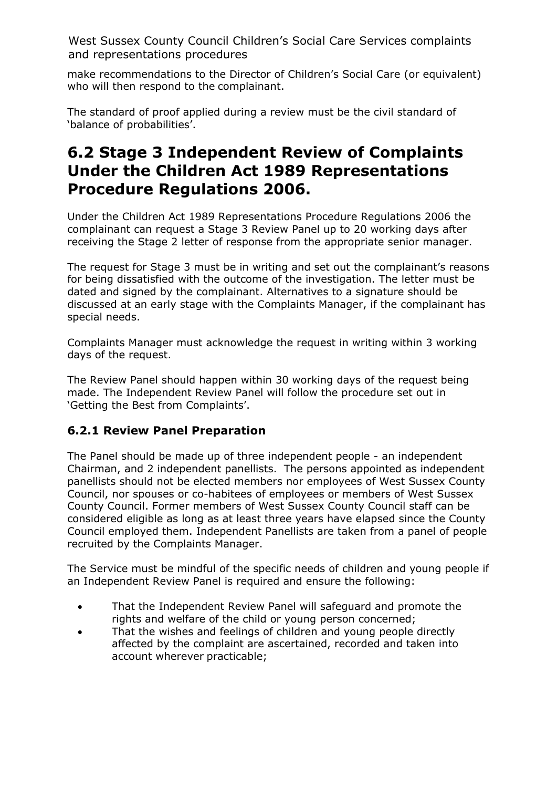make recommendations to the Director of Children's Social Care (or equivalent) who will then respond to the complainant.

The standard of proof applied during a review must be the civil standard of 'balance of probabilities'.

### <span id="page-21-0"></span>**6.2 Stage 3 Independent Review of Complaints Under the Children Act 1989 Representations Procedure Regulations 2006.**

Under the Children Act 1989 Representations Procedure Regulations 2006 the complainant can request a Stage 3 Review Panel up to 20 working days after receiving the Stage 2 letter of response from the appropriate senior manager.

The request for Stage 3 must be in writing and set out the complainant's reasons for being dissatisfied with the outcome of the investigation. The letter must be dated and signed by the complainant. Alternatives to a signature should be discussed at an early stage with the Complaints Manager, if the complainant has special needs.

Complaints Manager must acknowledge the request in writing within 3 working days of the request.

The Review Panel should happen within 30 working days of the request being made. The Independent Review Panel will follow the procedure set out in 'Getting the Best from Complaints'.

#### **6.2.1 Review Panel Preparation**

The Panel should be made up of three independent people - an independent Chairman, and 2 independent panellists. The persons appointed as independent panellists should not be elected members nor employees of West Sussex County Council, nor spouses or co-habitees of employees or members of West Sussex County Council. Former members of West Sussex County Council staff can be considered eligible as long as at least three years have elapsed since the County Council employed them. Independent Panellists are taken from a panel of people recruited by the Complaints Manager.

The Service must be mindful of the specific needs of children and young people if an Independent Review Panel is required and ensure the following:

- That the Independent Review Panel will safeguard and promote the rights and welfare of the child or young person concerned;
- That the wishes and feelings of children and young people directly affected by the complaint are ascertained, recorded and taken into account wherever practicable;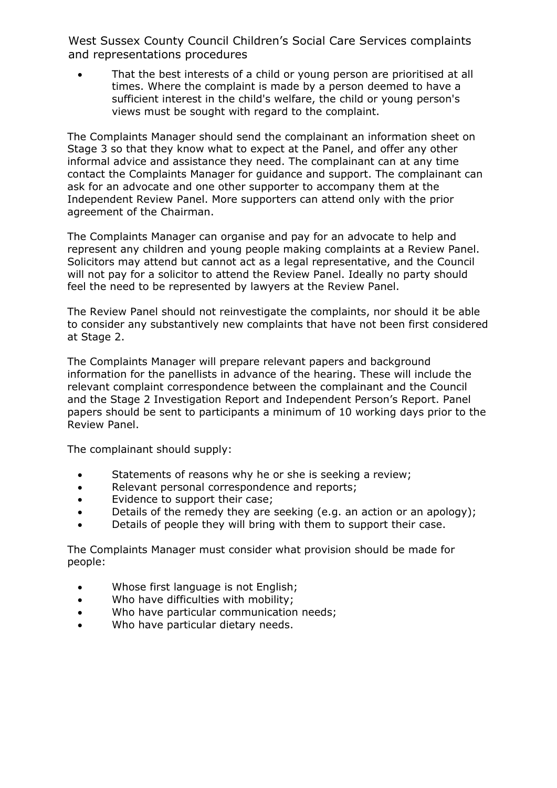That the best interests of a child or young person are prioritised at all times. Where the complaint is made by a person deemed to have a sufficient interest in the child's welfare, the child or young person's views must be sought with regard to the complaint.

The Complaints Manager should send the complainant an information sheet on Stage 3 so that they know what to expect at the Panel, and offer any other informal advice and assistance they need. The complainant can at any time contact the Complaints Manager for guidance and support. The complainant can ask for an advocate and one other supporter to accompany them at the Independent Review Panel. More supporters can attend only with the prior agreement of the Chairman.

The Complaints Manager can organise and pay for an advocate to help and represent any children and young people making complaints at a Review Panel. Solicitors may attend but cannot act as a legal representative, and the Council will not pay for a solicitor to attend the Review Panel. Ideally no party should feel the need to be represented by lawyers at the Review Panel.

The Review Panel should not reinvestigate the complaints, nor should it be able to consider any substantively new complaints that have not been first considered at Stage 2.

The Complaints Manager will prepare relevant papers and background information for the panellists in advance of the hearing. These will include the relevant complaint correspondence between the complainant and the Council and the Stage 2 Investigation Report and Independent Person's Report. Panel papers should be sent to participants a minimum of 10 working days prior to the Review Panel.

The complainant should supply:

- Statements of reasons why he or she is seeking a review;
- Relevant personal correspondence and reports;
- Evidence to support their case;
- Details of the remedy they are seeking (e.g. an action or an apology);
- Details of people they will bring with them to support their case.

The Complaints Manager must consider what provision should be made for people:

- Whose first language is not English;
- Who have difficulties with mobility;
- Who have particular communication needs;
- Who have particular dietary needs.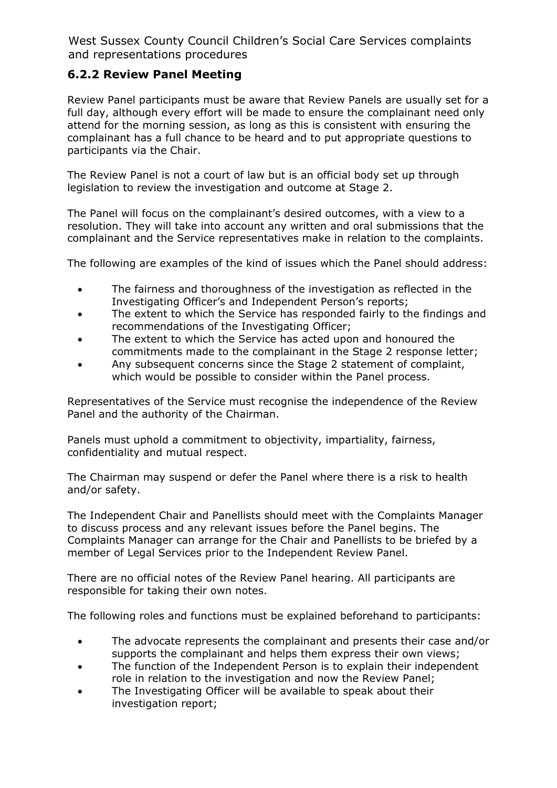#### **6.2.2 Review Panel Meeting**

Review Panel participants must be aware that Review Panels are usually set for a full day, although every effort will be made to ensure the complainant need only attend for the morning session, as long as this is consistent with ensuring the complainant has a full chance to be heard and to put appropriate questions to participants via the Chair.

The Review Panel is not a court of law but is an official body set up through legislation to review the investigation and outcome at Stage 2.

The Panel will focus on the complainant's desired outcomes, with a view to a resolution. They will take into account any written and oral submissions that the complainant and the Service representatives make in relation to the complaints.

The following are examples of the kind of issues which the Panel should address:

- The fairness and thoroughness of the investigation as reflected in the Investigating Officer's and Independent Person's reports;
- The extent to which the Service has responded fairly to the findings and recommendations of the Investigating Officer;
- The extent to which the Service has acted upon and honoured the commitments made to the complainant in the Stage 2 response letter;
- Any subsequent concerns since the Stage 2 statement of complaint, which would be possible to consider within the Panel process.

Representatives of the Service must recognise the independence of the Review Panel and the authority of the Chairman.

Panels must uphold a commitment to objectivity, impartiality, fairness, confidentiality and mutual respect.

The Chairman may suspend or defer the Panel where there is a risk to health and/or safety.

The Independent Chair and Panellists should meet with the Complaints Manager to discuss process and any relevant issues before the Panel begins. The Complaints Manager can arrange for the Chair and Panellists to be briefed by a member of Legal Services prior to the Independent Review Panel.

There are no official notes of the Review Panel hearing. All participants are responsible for taking their own notes.

The following roles and functions must be explained beforehand to participants:

- The advocate represents the complainant and presents their case and/or supports the complainant and helps them express their own views;
- The function of the Independent Person is to explain their independent role in relation to the investigation and now the Review Panel;
- The Investigating Officer will be available to speak about their investigation report;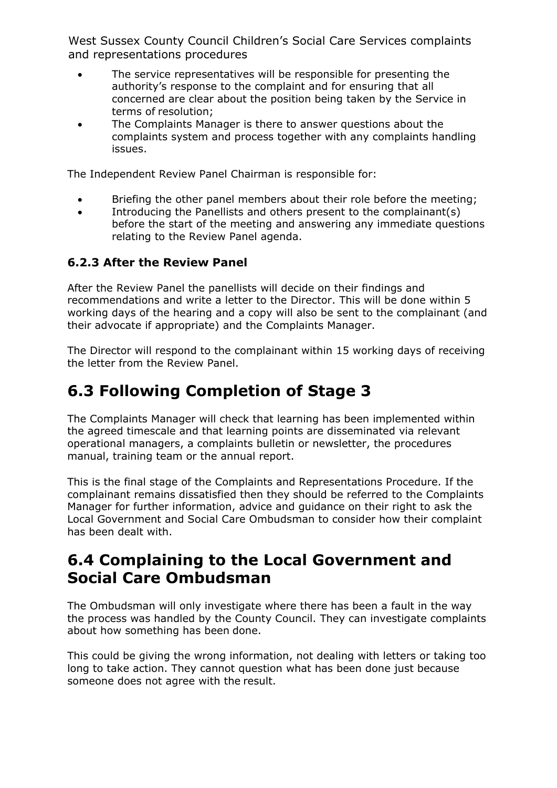- The service representatives will be responsible for presenting the authority's response to the complaint and for ensuring that all concerned are clear about the position being taken by the Service in terms of resolution;
- The Complaints Manager is there to answer questions about the complaints system and process together with any complaints handling issues.

The Independent Review Panel Chairman is responsible for:

- Briefing the other panel members about their role before the meeting;
- Introducing the Panellists and others present to the complainant(s) before the start of the meeting and answering any immediate questions relating to the Review Panel agenda.

#### **6.2.3 After the Review Panel**

After the Review Panel the panellists will decide on their findings and recommendations and write a letter to the Director. This will be done within 5 working days of the hearing and a copy will also be sent to the complainant (and their advocate if appropriate) and the Complaints Manager.

The Director will respond to the complainant within 15 working days of receiving the letter from the Review Panel.

### <span id="page-24-0"></span>**6.3 Following Completion of Stage 3**

The Complaints Manager will check that learning has been implemented within the agreed timescale and that learning points are disseminated via relevant operational managers, a complaints bulletin or newsletter, the procedures manual, training team or the annual report.

This is the final stage of the Complaints and Representations Procedure. If the complainant remains dissatisfied then they should be referred to the Complaints Manager for further information, advice and guidance on their right to ask the Local Government and Social Care Ombudsman to consider how their complaint has been dealt with.

### <span id="page-24-1"></span>**6.4 Complaining to the Local Government and Social Care Ombudsman**

The Ombudsman will only investigate where there has been a fault in the way the process was handled by the County Council. They can investigate complaints about how something has been done.

This could be giving the wrong information, not dealing with letters or taking too long to take action. They cannot question what has been done just because someone does not agree with the result.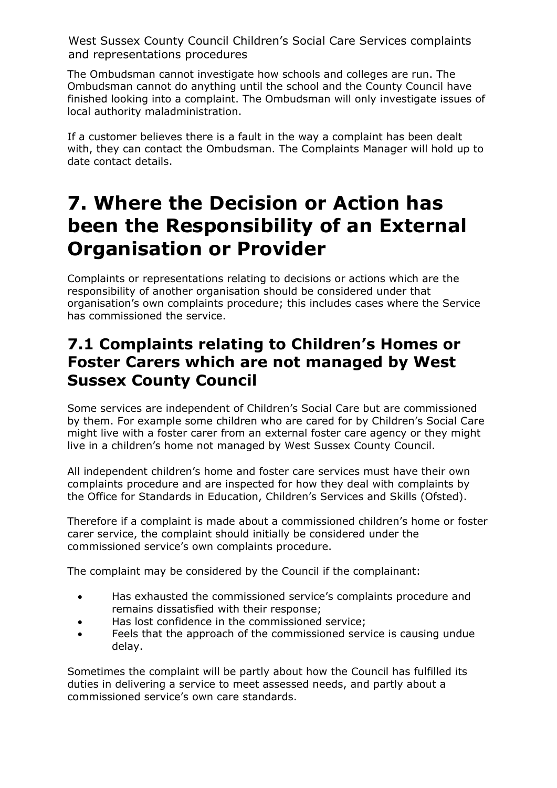The Ombudsman cannot investigate how schools and colleges are run. The Ombudsman cannot do anything until the school and the County Council have finished looking into a complaint. The Ombudsman will only investigate issues of local authority maladministration.

If a customer believes there is a fault in the way a complaint has been dealt with, they can contact the Ombudsman. The Complaints Manager will hold up to date contact details.

# <span id="page-25-0"></span>**7. Where the Decision or Action has been the Responsibility of an External Organisation or Provider**

Complaints or representations relating to decisions or actions which are the responsibility of another organisation should be considered under that organisation's own complaints procedure; this includes cases where the Service has commissioned the service.

### <span id="page-25-1"></span>**7.1 Complaints relating to Children's Homes or Foster Carers which are not managed by West Sussex County Council**

Some services are independent of Children's Social Care but are commissioned by them. For example some children who are cared for by Children's Social Care might live with a foster carer from an external foster care agency or they might live in a children's home not managed by West Sussex County Council.

All independent children's home and foster care services must have their own complaints procedure and are inspected for how they deal with complaints by the Office for Standards in Education, Children's Services and Skills (Ofsted).

Therefore if a complaint is made about a commissioned children's home or foster carer service, the complaint should initially be considered under the commissioned service's own complaints procedure.

The complaint may be considered by the Council if the complainant:

- Has exhausted the commissioned service's complaints procedure and remains dissatisfied with their response;
- Has lost confidence in the commissioned service;
- Feels that the approach of the commissioned service is causing undue delay.

Sometimes the complaint will be partly about how the Council has fulfilled its duties in delivering a service to meet assessed needs, and partly about a commissioned service's own care standards.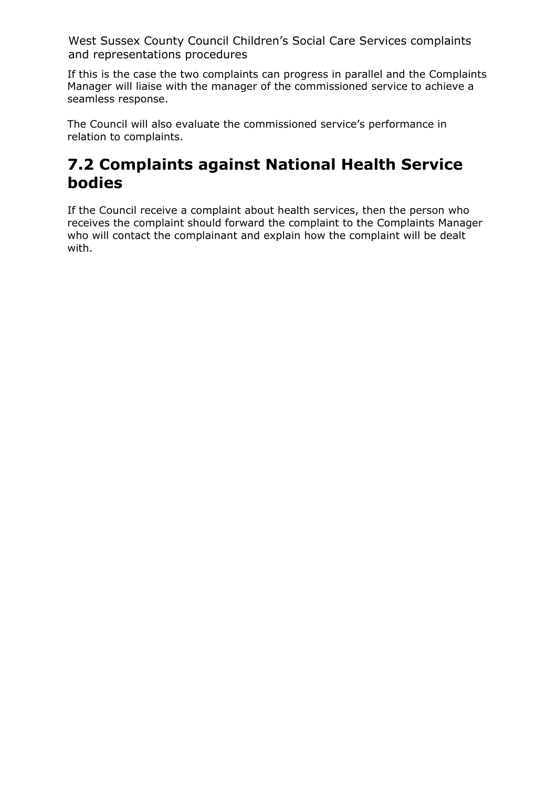If this is the case the two complaints can progress in parallel and the Complaints Manager will liaise with the manager of the commissioned service to achieve a seamless response.

The Council will also evaluate the commissioned service's performance in relation to complaints.

### <span id="page-26-0"></span>**7.2 Complaints against National Health Service bodies**

<span id="page-26-1"></span>If the Council receive a complaint about health services, then the person who receives the complaint should forward the complaint to the Complaints Manager who will contact the complainant and explain how the complaint will be dealt with.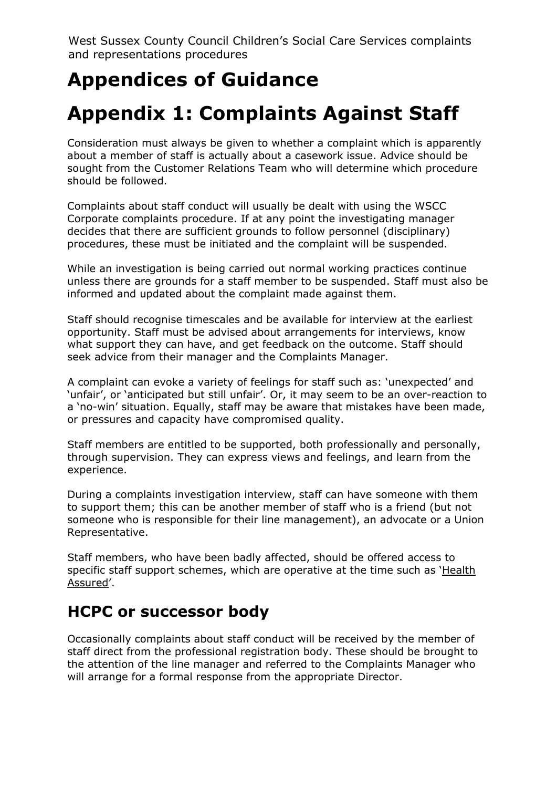# **Appendices of Guidance**

# **Appendix 1: Complaints Against Staff**

Consideration must always be given to whether a complaint which is apparently about a member of staff is actually about a casework issue. Advice should be sought from the Customer Relations Team who will determine which procedure should be followed.

Complaints about staff conduct will usually be dealt with using the WSCC Corporate complaints procedure. If at any point the investigating manager decides that there are sufficient grounds to follow personnel (disciplinary) procedures, these must be initiated and the complaint will be suspended.

While an investigation is being carried out normal working practices continue unless there are grounds for a staff member to be suspended. Staff must also be informed and updated about the complaint made against them.

Staff should recognise timescales and be available for interview at the earliest opportunity. Staff must be advised about arrangements for interviews, know what support they can have, and get feedback on the outcome. Staff should seek advice from their manager and the Complaints Manager.

A complaint can evoke a variety of feelings for staff such as: 'unexpected' and 'unfair', or 'anticipated but still unfair'. Or, it may seem to be an over-reaction to a 'no-win' situation. Equally, staff may be aware that mistakes have been made, or pressures and capacity have compromised quality.

Staff members are entitled to be supported, both professionally and personally, through supervision. They can express views and feelings, and learn from the experience.

During a complaints investigation interview, staff can have someone with them to support them; this can be another member of staff who is a friend (but not someone who is responsible for their line management), an advocate or a Union Representative.

Staff members, who have been badly affected, should be offered access to specific staff support schemes, which are operative at the time such as ['Health](https://healthassuredeap.co.uk/) [Assured'](https://healthassuredeap.co.uk/).

### **HCPC or successor body**

Occasionally complaints about staff conduct will be received by the member of staff direct from the professional registration body. These should be brought to the attention of the line manager and referred to the Complaints Manager who will arrange for a formal response from the appropriate Director.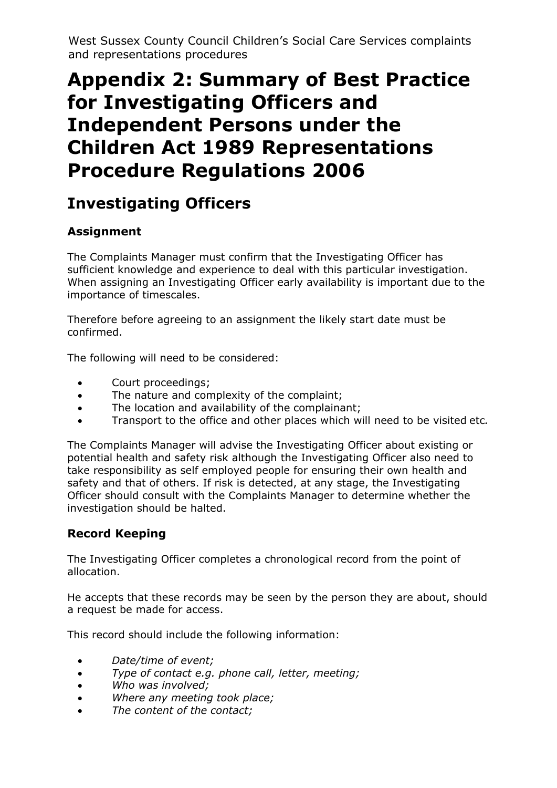# <span id="page-28-0"></span>**Appendix 2: Summary of Best Practice for Investigating Officers and Independent Persons under the Children Act 1989 Representations Procedure Regulations 2006**

### <span id="page-28-1"></span>**Investigating Officers**

#### **Assignment**

The Complaints Manager must confirm that the Investigating Officer has sufficient knowledge and experience to deal with this particular investigation. When assigning an Investigating Officer early availability is important due to the importance of timescales.

Therefore before agreeing to an assignment the likely start date must be confirmed.

The following will need to be considered:

- Court proceedings;
- The nature and complexity of the complaint;
- The location and availability of the complainant;
- Transport to the office and other places which will need to be visited etc*.*

The Complaints Manager will advise the Investigating Officer about existing or potential health and safety risk although the Investigating Officer also need to take responsibility as self employed people for ensuring their own health and safety and that of others. If risk is detected, at any stage, the Investigating Officer should consult with the Complaints Manager to determine whether the investigation should be halted.

#### **Record Keeping**

The Investigating Officer completes a chronological record from the point of allocation.

He accepts that these records may be seen by the person they are about, should a request be made for access.

This record should include the following information:

- *Date/time of event;*
- *Type of contact e.g. phone call, letter, meeting;*
- *Who was involved;*
- *Where any meeting took place;*
- *The content of the contact;*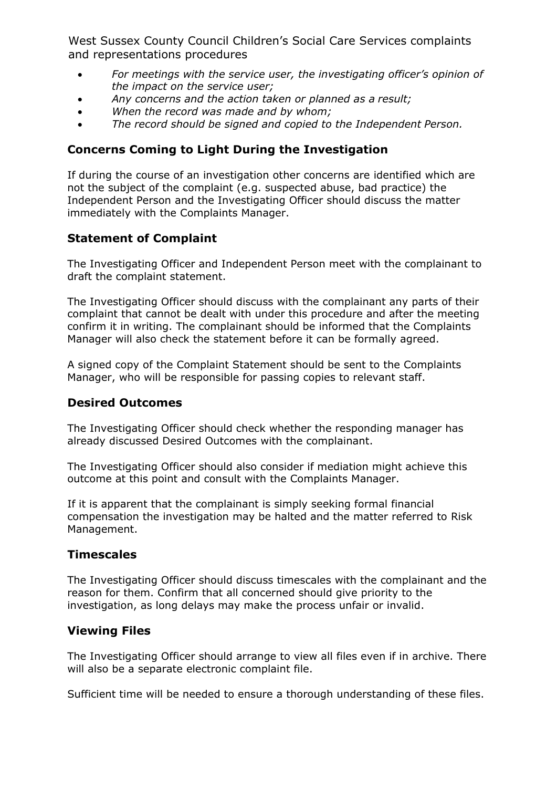- *For meetings with the service user, the investigating officer's opinion of the impact on the service user;*
- *Any concerns and the action taken or planned as a result;*
- *When the record was made and by whom;*
- *The record should be signed and copied to the Independent Person.*

#### **Concerns Coming to Light During the Investigation**

If during the course of an investigation other concerns are identified which are not the subject of the complaint (e.g. suspected abuse, bad practice) the Independent Person and the Investigating Officer should discuss the matter immediately with the Complaints Manager.

#### **Statement of Complaint**

The Investigating Officer and Independent Person meet with the complainant to draft the complaint statement.

The Investigating Officer should discuss with the complainant any parts of their complaint that cannot be dealt with under this procedure and after the meeting confirm it in writing. The complainant should be informed that the Complaints Manager will also check the statement before it can be formally agreed.

A signed copy of the Complaint Statement should be sent to the Complaints Manager, who will be responsible for passing copies to relevant staff.

#### **Desired Outcomes**

The Investigating Officer should check whether the responding manager has already discussed Desired Outcomes with the complainant.

The Investigating Officer should also consider if mediation might achieve this outcome at this point and consult with the Complaints Manager.

If it is apparent that the complainant is simply seeking formal financial compensation the investigation may be halted and the matter referred to Risk Management.

#### **Timescales**

The Investigating Officer should discuss timescales with the complainant and the reason for them. Confirm that all concerned should give priority to the investigation, as long delays may make the process unfair or invalid.

#### **Viewing Files**

The Investigating Officer should arrange to view all files even if in archive. There will also be a separate electronic complaint file.

Sufficient time will be needed to ensure a thorough understanding of these files.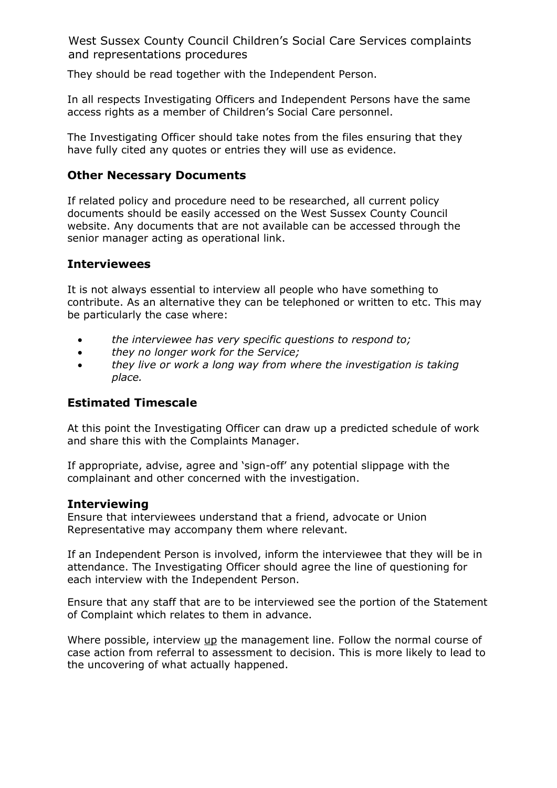They should be read together with the Independent Person.

In all respects Investigating Officers and Independent Persons have the same access rights as a member of Children's Social Care personnel.

The Investigating Officer should take notes from the files ensuring that they have fully cited any quotes or entries they will use as evidence.

#### **Other Necessary Documents**

If related policy and procedure need to be researched, all current policy documents should be easily accessed on the West Sussex County Council website. Any documents that are not available can be accessed through the senior manager acting as operational link.

#### **Interviewees**

It is not always essential to interview all people who have something to contribute. As an alternative they can be telephoned or written to etc. This may be particularly the case where:

- *the interviewee has very specific questions to respond to;*
- *they no longer work for the Service;*
- *they live or work a long way from where the investigation is taking place.*

#### **Estimated Timescale**

At this point the Investigating Officer can draw up a predicted schedule of work and share this with the Complaints Manager.

If appropriate, advise, agree and 'sign-off' any potential slippage with the complainant and other concerned with the investigation.

#### **Interviewing**

Ensure that interviewees understand that a friend, advocate or Union Representative may accompany them where relevant.

If an Independent Person is involved, inform the interviewee that they will be in attendance. The Investigating Officer should agree the line of questioning for each interview with the Independent Person.

Ensure that any staff that are to be interviewed see the portion of the Statement of Complaint which relates to them in advance.

Where possible, interview up the management line. Follow the normal course of case action from referral to assessment to decision. This is more likely to lead to the uncovering of what actually happened.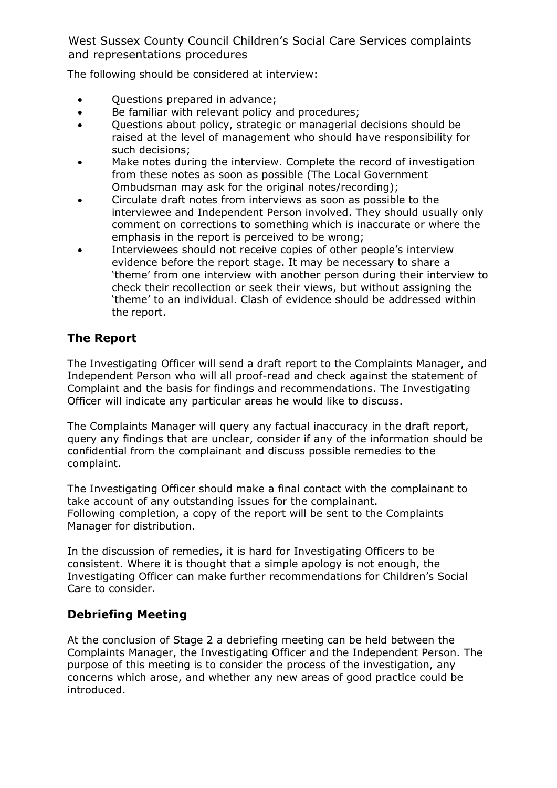The following should be considered at interview:

- Questions prepared in advance;
- Be familiar with relevant policy and procedures;
- Questions about policy, strategic or managerial decisions should be raised at the level of management who should have responsibility for such decisions;
- Make notes during the interview. Complete the record of investigation from these notes as soon as possible (The Local Government Ombudsman may ask for the original notes/recording);
- Circulate draft notes from interviews as soon as possible to the interviewee and Independent Person involved. They should usually only comment on corrections to something which is inaccurate or where the emphasis in the report is perceived to be wrong;
- Interviewees should not receive copies of other people's interview evidence before the report stage. It may be necessary to share a 'theme' from one interview with another person during their interview to check their recollection or seek their views, but without assigning the 'theme' to an individual. Clash of evidence should be addressed within the report.

#### **The Report**

The Investigating Officer will send a draft report to the Complaints Manager, and Independent Person who will all proof-read and check against the statement of Complaint and the basis for findings and recommendations. The Investigating Officer will indicate any particular areas he would like to discuss.

The Complaints Manager will query any factual inaccuracy in the draft report, query any findings that are unclear, consider if any of the information should be confidential from the complainant and discuss possible remedies to the complaint.

The Investigating Officer should make a final contact with the complainant to take account of any outstanding issues for the complainant. Following completion, a copy of the report will be sent to the Complaints Manager for distribution.

In the discussion of remedies, it is hard for Investigating Officers to be consistent. Where it is thought that a simple apology is not enough, the Investigating Officer can make further recommendations for Children's Social Care to consider.

#### **Debriefing Meeting**

At the conclusion of Stage 2 a debriefing meeting can be held between the Complaints Manager, the Investigating Officer and the Independent Person. The purpose of this meeting is to consider the process of the investigation, any concerns which arose, and whether any new areas of good practice could be introduced.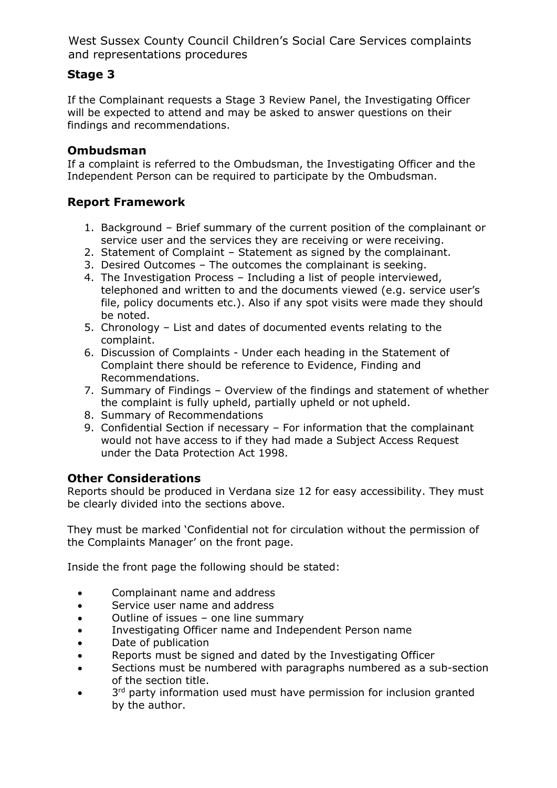#### **Stage 3**

If the Complainant requests a Stage 3 Review Panel, the Investigating Officer will be expected to attend and may be asked to answer questions on their findings and recommendations.

#### **Ombudsman**

If a complaint is referred to the Ombudsman, the Investigating Officer and the Independent Person can be required to participate by the Ombudsman.

#### **Report Framework**

- 1. Background Brief summary of the current position of the complainant or service user and the services they are receiving or were receiving.
- 2. Statement of Complaint Statement as signed by the complainant.
- 3. Desired Outcomes The outcomes the complainant is seeking.
- 4. The Investigation Process Including a list of people interviewed, telephoned and written to and the documents viewed (e.g. service user's file, policy documents etc.). Also if any spot visits were made they should be noted.
- 5. Chronology List and dates of documented events relating to the complaint.
- 6. Discussion of Complaints Under each heading in the Statement of Complaint there should be reference to Evidence, Finding and Recommendations.
- 7. Summary of Findings Overview of the findings and statement of whether the complaint is fully upheld, partially upheld or not upheld.
- 8. Summary of Recommendations
- 9. Confidential Section if necessary For information that the complainant would not have access to if they had made a Subject Access Request under the Data Protection Act 1998.

#### **Other Considerations**

Reports should be produced in Verdana size 12 for easy accessibility. They must be clearly divided into the sections above.

They must be marked 'Confidential not for circulation without the permission of the Complaints Manager' on the front page.

Inside the front page the following should be stated:

- Complainant name and address
- Service user name and address
- Outline of issues one line summary
- Investigating Officer name and Independent Person name
- Date of publication
- Reports must be signed and dated by the Investigating Officer
- Sections must be numbered with paragraphs numbered as a sub-section of the section title.
- 3<sup>rd</sup> party information used must have permission for inclusion granted by the author.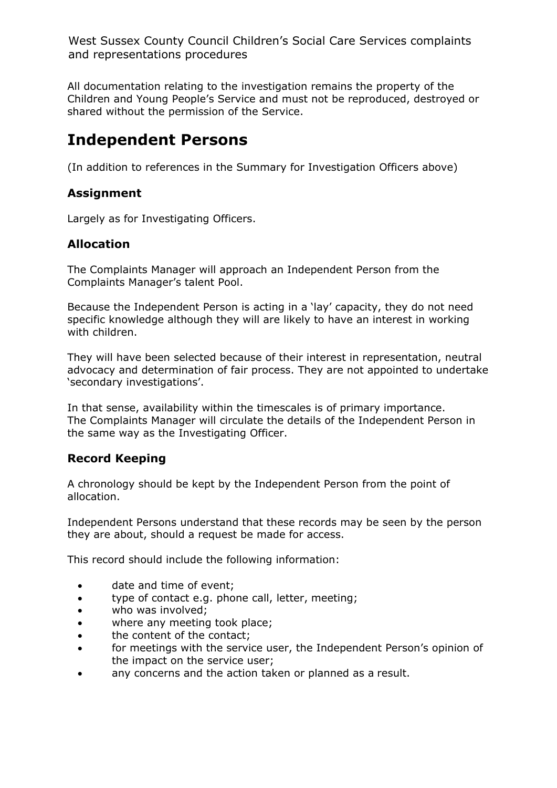All documentation relating to the investigation remains the property of the Children and Young People's Service and must not be reproduced, destroyed or shared without the permission of the Service.

### <span id="page-33-0"></span>**Independent Persons**

(In addition to references in the Summary for Investigation Officers above)

#### **Assignment**

Largely as for Investigating Officers.

#### **Allocation**

The Complaints Manager will approach an Independent Person from the Complaints Manager's talent Pool.

Because the Independent Person is acting in a 'lay' capacity, they do not need specific knowledge although they will are likely to have an interest in working with children.

They will have been selected because of their interest in representation, neutral advocacy and determination of fair process. They are not appointed to undertake 'secondary investigations'.

In that sense, availability within the timescales is of primary importance. The Complaints Manager will circulate the details of the Independent Person in the same way as the Investigating Officer.

#### **Record Keeping**

A chronology should be kept by the Independent Person from the point of allocation.

Independent Persons understand that these records may be seen by the person they are about, should a request be made for access.

This record should include the following information:

- date and time of event;
- type of contact e.g. phone call, letter, meeting;
- who was involved;
- where any meeting took place;
- the content of the contact;
- for meetings with the service user, the Independent Person's opinion of the impact on the service user;
- any concerns and the action taken or planned as a result.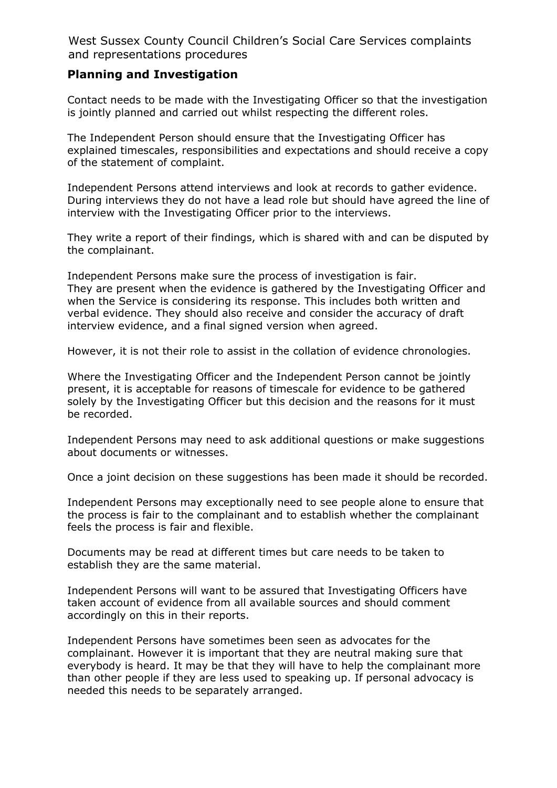#### **Planning and Investigation**

Contact needs to be made with the Investigating Officer so that the investigation is jointly planned and carried out whilst respecting the different roles.

The Independent Person should ensure that the Investigating Officer has explained timescales, responsibilities and expectations and should receive a copy of the statement of complaint.

Independent Persons attend interviews and look at records to gather evidence. During interviews they do not have a lead role but should have agreed the line of interview with the Investigating Officer prior to the interviews.

They write a report of their findings, which is shared with and can be disputed by the complainant.

Independent Persons make sure the process of investigation is fair. They are present when the evidence is gathered by the Investigating Officer and when the Service is considering its response. This includes both written and verbal evidence. They should also receive and consider the accuracy of draft interview evidence, and a final signed version when agreed.

However, it is not their role to assist in the collation of evidence chronologies.

Where the Investigating Officer and the Independent Person cannot be jointly present, it is acceptable for reasons of timescale for evidence to be gathered solely by the Investigating Officer but this decision and the reasons for it must be recorded.

Independent Persons may need to ask additional questions or make suggestions about documents or witnesses.

Once a joint decision on these suggestions has been made it should be recorded.

Independent Persons may exceptionally need to see people alone to ensure that the process is fair to the complainant and to establish whether the complainant feels the process is fair and flexible.

Documents may be read at different times but care needs to be taken to establish they are the same material.

Independent Persons will want to be assured that Investigating Officers have taken account of evidence from all available sources and should comment accordingly on this in their reports.

Independent Persons have sometimes been seen as advocates for the complainant. However it is important that they are neutral making sure that everybody is heard. It may be that they will have to help the complainant more than other people if they are less used to speaking up. If personal advocacy is needed this needs to be separately arranged.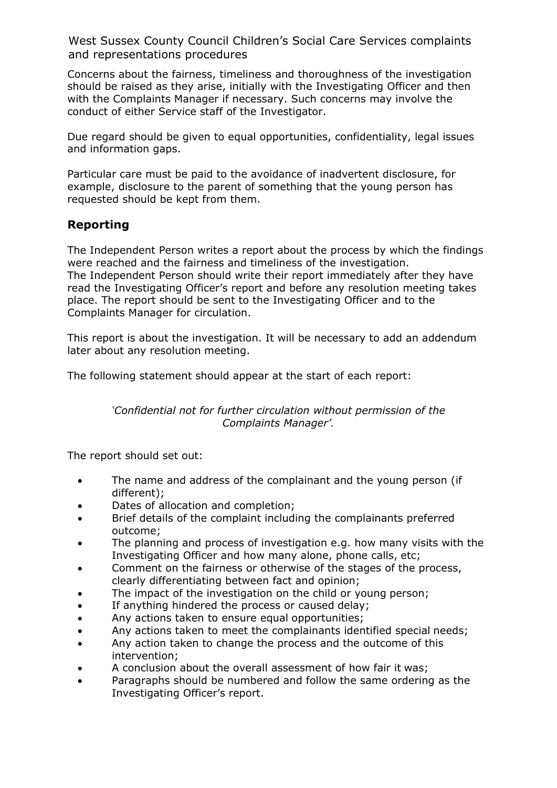Concerns about the fairness, timeliness and thoroughness of the investigation should be raised as they arise, initially with the Investigating Officer and then with the Complaints Manager if necessary. Such concerns may involve the conduct of either Service staff of the Investigator.

Due regard should be given to equal opportunities, confidentiality, legal issues and information gaps.

Particular care must be paid to the avoidance of inadvertent disclosure, for example, disclosure to the parent of something that the young person has requested should be kept from them.

#### **Reporting**

The Independent Person writes a report about the process by which the findings were reached and the fairness and timeliness of the investigation. The Independent Person should write their report immediately after they have read the Investigating Officer's report and before any resolution meeting takes place. The report should be sent to the Investigating Officer and to the Complaints Manager for circulation.

This report is about the investigation. It will be necessary to add an addendum later about any resolution meeting.

The following statement should appear at the start of each report:

#### *'Confidential not for further circulation without permission of the Complaints Manager'.*

The report should set out:

- The name and address of the complainant and the young person (if different);
- Dates of allocation and completion;
- Brief details of the complaint including the complainants preferred outcome;
- The planning and process of investigation e.g. how many visits with the Investigating Officer and how many alone, phone calls, etc;
- Comment on the fairness or otherwise of the stages of the process, clearly differentiating between fact and opinion;
- The impact of the investigation on the child or young person;
- If anything hindered the process or caused delay;
- Any actions taken to ensure equal opportunities;
- Any actions taken to meet the complainants identified special needs;
- Any action taken to change the process and the outcome of this intervention;
- A conclusion about the overall assessment of how fair it was;
- Paragraphs should be numbered and follow the same ordering as the Investigating Officer's report.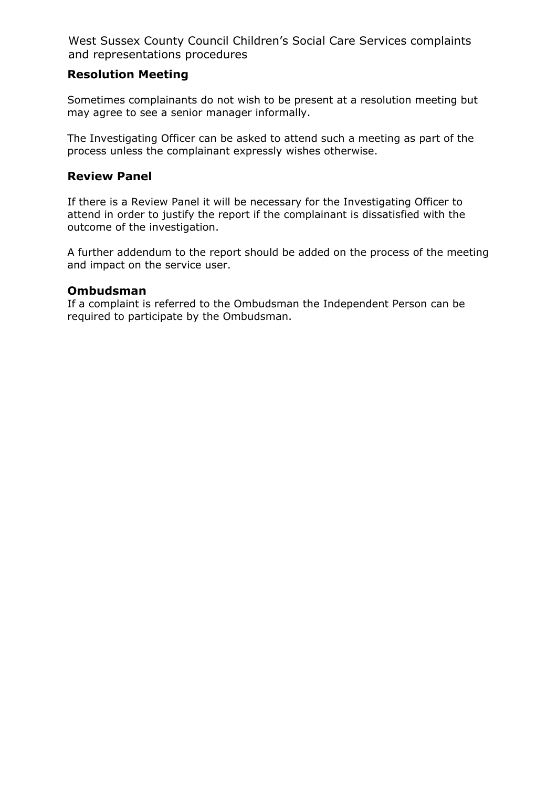#### **Resolution Meeting**

Sometimes complainants do not wish to be present at a resolution meeting but may agree to see a senior manager informally.

The Investigating Officer can be asked to attend such a meeting as part of the process unless the complainant expressly wishes otherwise.

#### **Review Panel**

If there is a Review Panel it will be necessary for the Investigating Officer to attend in order to justify the report if the complainant is dissatisfied with the outcome of the investigation.

A further addendum to the report should be added on the process of the meeting and impact on the service user.

#### **Ombudsman**

If a complaint is referred to the Ombudsman the Independent Person can be required to participate by the Ombudsman.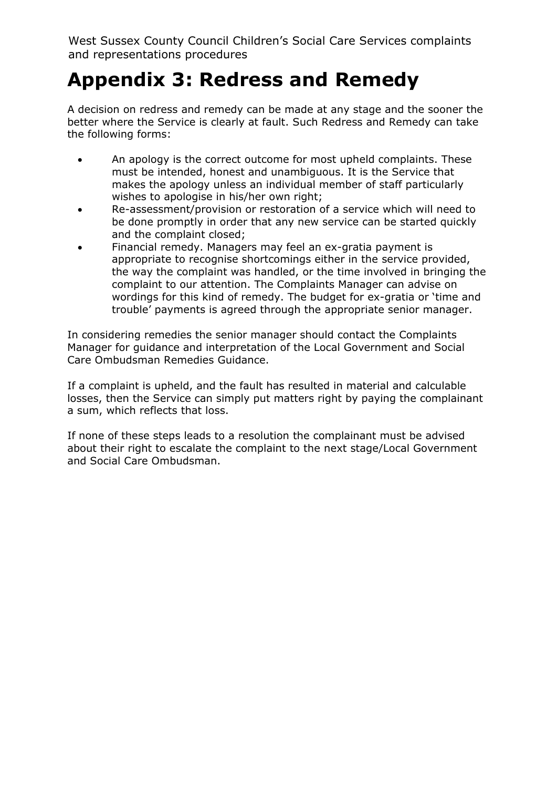# <span id="page-37-0"></span>**Appendix 3: Redress and Remedy**

A decision on redress and remedy can be made at any stage and the sooner the better where the Service is clearly at fault. Such Redress and Remedy can take the following forms:

- An apology is the correct outcome for most upheld complaints. These must be intended, honest and unambiguous. It is the Service that makes the apology unless an individual member of staff particularly wishes to apologise in his/her own right;
- Re-assessment/provision or restoration of a service which will need to be done promptly in order that any new service can be started quickly and the complaint closed;
- Financial remedy. Managers may feel an ex-gratia payment is appropriate to recognise shortcomings either in the service provided, the way the complaint was handled, or the time involved in bringing the complaint to our attention. The Complaints Manager can advise on wordings for this kind of remedy. The budget for ex-gratia or 'time and trouble' payments is agreed through the appropriate senior manager.

In considering remedies the senior manager should contact the Complaints Manager for guidance and interpretation of the Local Government and Social Care Ombudsman Remedies Guidance.

If a complaint is upheld, and the fault has resulted in material and calculable losses, then the Service can simply put matters right by paying the complainant a sum, which reflects that loss.

<span id="page-37-1"></span>If none of these steps leads to a resolution the complainant must be advised about their right to escalate the complaint to the next stage/Local Government and Social Care Ombudsman.